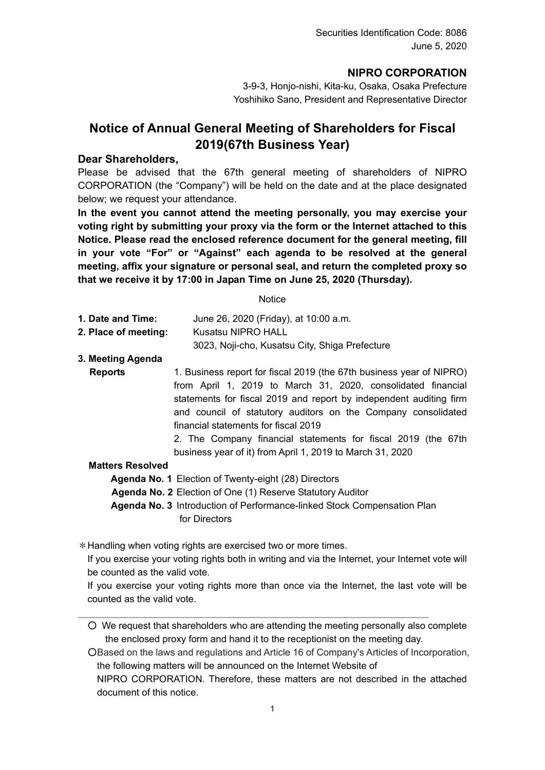## **NIPRO CORPORATION**

3-9-3, Honjo-nishi, Kita-ku, Osaka, Osaka Prefecture Yoshihiko Sano, President and Representative Director

## **Notice of Annual General Meeting of Shareholders for Fiscal 2019(67th Business Year)**

#### **Dear Shareholders,**

Please be advised that the 67th general meeting of shareholders of NIPRO CORPORATION (the "Company") will be held on the date and at the place designated below; we request your attendance.

**In the event you cannot attend the meeting personally, you may exercise your voting right by submitting your proxy via the form or the Internet attached to this Notice. Please read the enclosed reference document for the general meeting, fill in your vote "For" or "Against" each agenda to be resolved at the general meeting, affix your signature or personal seal, and return the completed proxy so that we receive it by 17:00 in Japan Time on June 25, 2020 (Thursday).** 

**Notice** 

| 1. Date and Time:    | June 26, 2020 (Friday), at 10:00 a.m.          |
|----------------------|------------------------------------------------|
| 2. Place of meeting: | Kusatsu NIPRO HALL                             |
|                      | 3023, Noji-cho, Kusatsu City, Shiga Prefecture |

**3. Meeting Agenda**

**Reports** 1. Business report for fiscal 2019 (the 67th business year of NIPRO) from April 1, 2019 to March 31, 2020, consolidated financial statements for fiscal 2019 and report by independent auditing firm and council of statutory auditors on the Company consolidated financial statements for fiscal 2019

2. The Company financial statements for fiscal 2019 (the 67th business year of it) from April 1, 2019 to March 31, 2020

#### **Matters Resolved**

**Agenda No. 1** Election of Twenty-eight (28) Directors

**Agenda No. 2** Election of One (1) Reserve Statutory Auditor

**Agenda No. 3** Introduction of Performance-linked Stock Compensation Plan for Directors

\*Handling when voting rights are exercised two or more times.

If you exercise your voting rights both in writing and via the Internet, your Internet vote will be counted as the valid vote.

If you exercise your voting rights more than once via the Internet, the last vote will be counted as the valid vote.

○ We request that shareholders who are attending the meeting personally also complete the enclosed proxy form and hand it to the receptionist on the meeting day.

○Based on the laws and regulations and Article 16 of Company's Articles of Incorporation, the following matters will be announced on the Internet Website of

NIPRO CORPORATION. Therefore, these matters are not described in the attached document of this notice.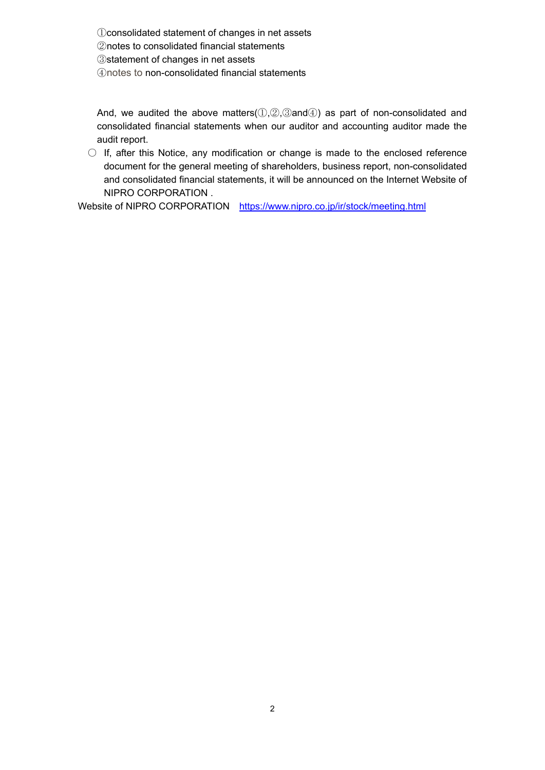consolidated statement of changes in net assets notes to consolidated financial statements statement of changes in net assets notes to non-consolidated financial statements

And, we audited the above matters( $(1,2,3)$ and $(4)$ ) as part of non-consolidated and consolidated financial statements when our auditor and accounting auditor made the audit report.

 $\circ$  If, after this Notice, any modification or change is made to the enclosed reference document for the general meeting of shareholders, business report, non-consolidated and consolidated financial statements, it will be announced on the Internet Website of NIPRO CORPORATION .

Website of NIPRO CORPORATION https://www.nipro.co.jp/ir/stock/meeting.html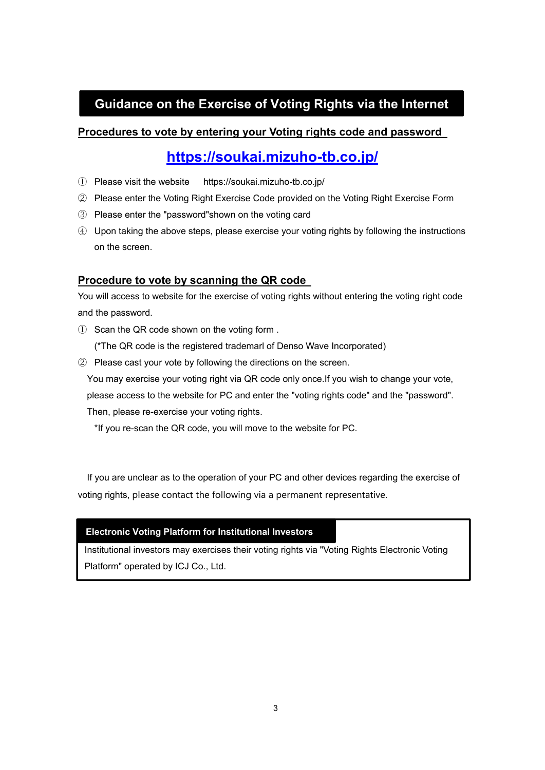# **Guidance on the Exercise of Voting Rights via the Internet**

### **Procedures to vote by entering your Voting rights code and password**

# **https://soukai.mizuho-tb.co.jp/**

- ① Please visit the website https://soukai.mizuho-tb.co.jp/
- ② Please enter the Voting Right Exercise Code provided on the Voting Right Exercise Form
- ③ Please enter the "password"shown on the voting card

④ Upon taking the above steps, please exercise your voting rights by following the instructions on the screen.

### **Procedure to vote by scanning the QR code**

You will access to website for the exercise of voting rights without entering the voting right code and the password.

① Scan the QR code shown on the voting form .

(\*The QR code is the registered trademarl of Denso Wave Incorporated)

② Please cast your vote by following the directions on the screen.

You may exercise your voting right via QR code only once.If you wish to change your vote, please access to the website for PC and enter the "voting rights code" and the "password".

Then, please re-exercise your voting rights.

\*If you re-scan the QR code, you will move to the website for PC.

If you are unclear as to the operation of your PC and other devices regarding the exercise of voting rights, please contact the following via a permanent representative.

#### **Electronic Voting Platform for Institutional Investors**

Institutional investors may exercises their voting rights via "Voting Rights Electronic Voting Platform" operated by ICJ Co., Ltd.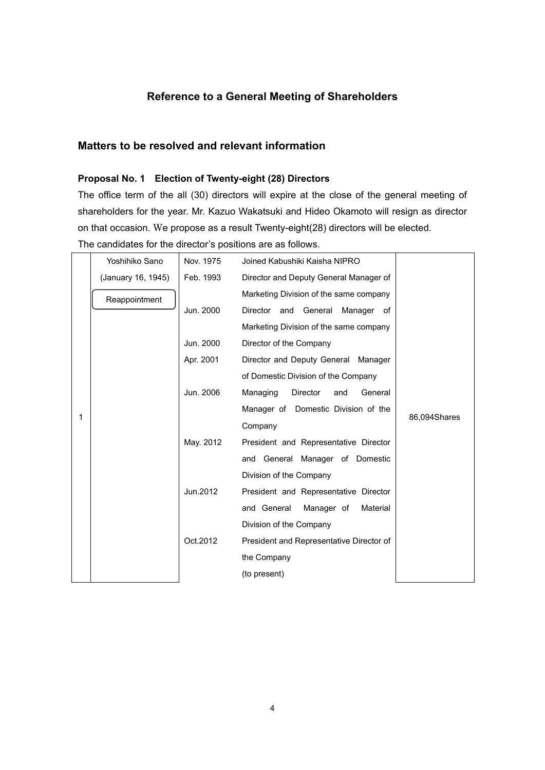## **Reference to a General Meeting of Shareholders**

### **Matters to be resolved and relevant information**

#### **Proposal No. 1 Election of Twenty-eight (28) Directors**

The office term of the all (30) directors will expire at the close of the general meeting of shareholders for the year. Mr. Kazuo Wakatsuki and Hideo Okamoto will resign as director on that occasion. We propose as a result Twenty-eight(28) directors will be elected. The candidates for the director's positions are as follows.

|   | Yoshihiko Sano     | Nov. 1975 | Joined Kabushiki Kaisha NIPRO            |              |
|---|--------------------|-----------|------------------------------------------|--------------|
|   | (January 16, 1945) | Feb. 1993 | Director and Deputy General Manager of   |              |
|   | Reappointment      |           | Marketing Division of the same company   |              |
|   |                    | Jun. 2000 | Director and General<br>Manager of       |              |
|   |                    |           | Marketing Division of the same company   |              |
|   |                    | Jun. 2000 | Director of the Company                  |              |
|   |                    | Apr. 2001 | Director and Deputy General Manager      |              |
|   |                    |           | of Domestic Division of the Company      |              |
|   |                    | Jun. 2006 | Managing<br>Director<br>General<br>and   |              |
|   |                    |           | Manager of Domestic Division of the      |              |
| 1 |                    |           | Company                                  | 86,094Shares |
|   |                    | May. 2012 | President and Representative Director    |              |
|   |                    |           | and General Manager of Domestic          |              |
|   |                    |           | Division of the Company                  |              |
|   |                    | Jun.2012  | President and Representative Director    |              |
|   |                    |           | and General<br>Manager of<br>Material    |              |
|   |                    |           | Division of the Company                  |              |
|   |                    | Oct.2012  | President and Representative Director of |              |
|   |                    |           | the Company                              |              |
|   |                    |           | (to present)                             |              |
|   |                    |           |                                          |              |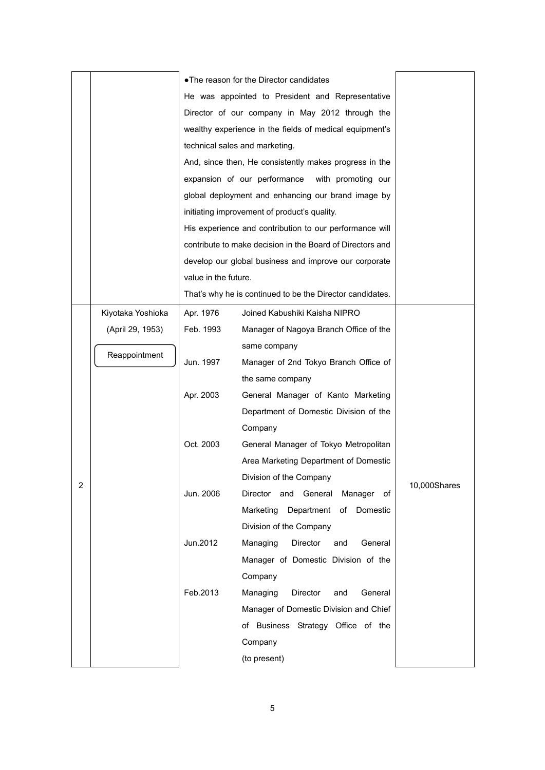|   |                   |                      | . The reason for the Director candidates                  |              |
|---|-------------------|----------------------|-----------------------------------------------------------|--------------|
|   |                   |                      | He was appointed to President and Representative          |              |
|   |                   |                      | Director of our company in May 2012 through the           |              |
|   |                   |                      | wealthy experience in the fields of medical equipment's   |              |
|   |                   |                      | technical sales and marketing.                            |              |
|   |                   |                      | And, since then, He consistently makes progress in the    |              |
|   |                   |                      | expansion of our performance with promoting our           |              |
|   |                   |                      | global deployment and enhancing our brand image by        |              |
|   |                   |                      | initiating improvement of product's quality.              |              |
|   |                   |                      | His experience and contribution to our performance will   |              |
|   |                   |                      | contribute to make decision in the Board of Directors and |              |
|   |                   |                      | develop our global business and improve our corporate     |              |
|   |                   | value in the future. |                                                           |              |
|   |                   |                      | That's why he is continued to be the Director candidates. |              |
|   | Kiyotaka Yoshioka | Apr. 1976            | Joined Kabushiki Kaisha NIPRO                             |              |
|   | (April 29, 1953)  | Feb. 1993            | Manager of Nagoya Branch Office of the                    |              |
|   |                   |                      | same company                                              |              |
|   | Reappointment     | Jun. 1997            | Manager of 2nd Tokyo Branch Office of                     |              |
|   |                   |                      | the same company                                          |              |
|   |                   | Apr. 2003            | General Manager of Kanto Marketing                        |              |
|   |                   |                      | Department of Domestic Division of the                    |              |
|   |                   |                      | Company                                                   |              |
|   |                   | Oct. 2003            | General Manager of Tokyo Metropolitan                     |              |
|   |                   |                      | Area Marketing Department of Domestic                     |              |
|   |                   |                      | Division of the Company                                   |              |
| 2 |                   | Jun. 2006            | Director and General Manager of                           | 10,000Shares |
|   |                   |                      | Marketing Department of Domestic                          |              |
|   |                   |                      | Division of the Company                                   |              |
|   |                   | Jun.2012             | Managing<br>Director<br>and<br>General                    |              |
|   |                   |                      | Manager of Domestic Division of the                       |              |
|   |                   |                      | Company                                                   |              |
|   |                   | Feb.2013             | Managing<br>Director<br>General<br>and                    |              |
|   |                   |                      | Manager of Domestic Division and Chief                    |              |
|   |                   |                      | of Business Strategy Office of the                        |              |
|   |                   |                      | Company                                                   |              |
|   |                   |                      | (to present)                                              |              |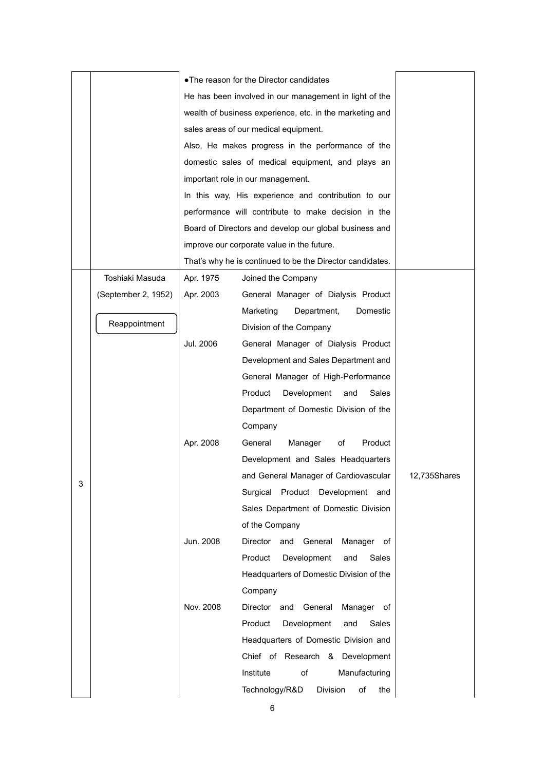|   |                     |           | . The reason for the Director candidates                  |              |
|---|---------------------|-----------|-----------------------------------------------------------|--------------|
|   |                     |           | He has been involved in our management in light of the    |              |
|   |                     |           | wealth of business experience, etc. in the marketing and  |              |
|   |                     |           | sales areas of our medical equipment.                     |              |
|   |                     |           | Also, He makes progress in the performance of the         |              |
|   |                     |           | domestic sales of medical equipment, and plays an         |              |
|   |                     |           | important role in our management.                         |              |
|   |                     |           | In this way, His experience and contribution to our       |              |
|   |                     |           | performance will contribute to make decision in the       |              |
|   |                     |           | Board of Directors and develop our global business and    |              |
|   |                     |           | improve our corporate value in the future.                |              |
|   |                     |           | That's why he is continued to be the Director candidates. |              |
|   | Toshiaki Masuda     | Apr. 1975 | Joined the Company                                        |              |
|   | (September 2, 1952) | Apr. 2003 | General Manager of Dialysis Product                       |              |
|   |                     |           | Marketing<br>Department,<br>Domestic                      |              |
|   | Reappointment       |           | Division of the Company                                   |              |
|   |                     | Jul. 2006 | General Manager of Dialysis Product                       |              |
|   |                     |           | Development and Sales Department and                      |              |
|   |                     |           | General Manager of High-Performance                       |              |
|   |                     |           | Product<br>Development<br>Sales<br>and                    |              |
|   |                     |           | Department of Domestic Division of the                    |              |
|   |                     |           | Company                                                   |              |
|   |                     | Apr. 2008 | General<br>Manager<br>of<br>Product                       |              |
|   |                     |           | Development and Sales Headquarters                        |              |
| 3 |                     |           | and General Manager of Cardiovascular                     | 12,735Shares |
|   |                     |           | Surgical Product Development and                          |              |
|   |                     |           | Sales Department of Domestic Division                     |              |
|   |                     |           | of the Company                                            |              |
|   |                     | Jun. 2008 | Director<br>and General<br>Manager of                     |              |
|   |                     |           | Product<br>Development<br>and<br>Sales                    |              |
|   |                     |           | Headquarters of Domestic Division of the                  |              |
|   |                     |           | Company                                                   |              |
|   |                     | Nov. 2008 | Director<br>and General<br>Manager of                     |              |
|   |                     |           | Product<br>Development<br>Sales<br>and                    |              |
|   |                     |           | Headquarters of Domestic Division and                     |              |
|   |                     |           | Chief of Research & Development                           |              |
|   |                     |           | Institute<br>of<br>Manufacturing                          |              |
|   |                     |           | Technology/R&D<br><b>Division</b><br>of<br>the            |              |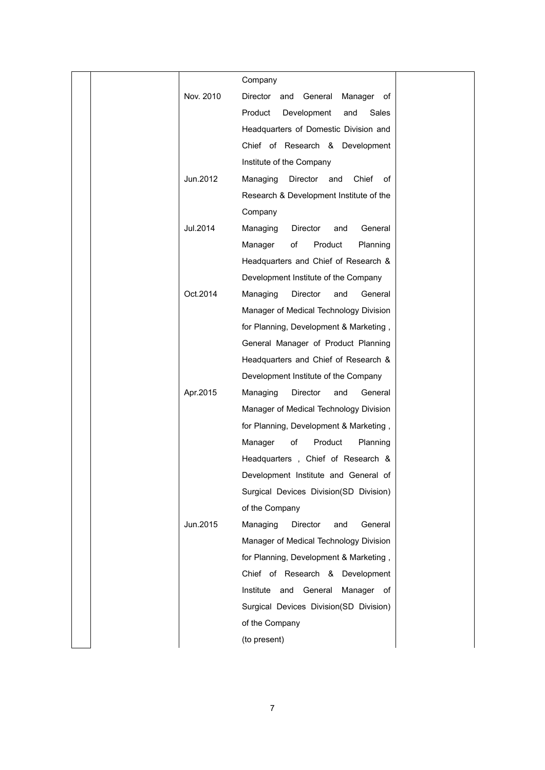|           | Company                                    |  |
|-----------|--------------------------------------------|--|
| Nov. 2010 | Director<br>General<br>Manager of<br>and   |  |
|           | Product<br>Development<br>and<br>Sales     |  |
|           | Headquarters of Domestic Division and      |  |
|           | Chief of Research & Development            |  |
|           | Institute of the Company                   |  |
| Jun.2012  | Chief<br>Managing<br>Director<br>and<br>of |  |
|           | Research & Development Institute of the    |  |
|           | Company                                    |  |
| Jul.2014  | General<br>Managing<br>Director<br>and     |  |
|           | Product<br>Manager<br>of<br>Planning       |  |
|           | Headquarters and Chief of Research &       |  |
|           | Development Institute of the Company       |  |
| Oct.2014  | Managing<br>Director<br>General<br>and     |  |
|           | Manager of Medical Technology Division     |  |
|           | for Planning, Development & Marketing,     |  |
|           | General Manager of Product Planning        |  |
|           | Headquarters and Chief of Research &       |  |
|           | Development Institute of the Company       |  |
| Apr.2015  | Managing<br>Director<br>and<br>General     |  |
|           | Manager of Medical Technology Division     |  |
|           | for Planning, Development & Marketing,     |  |
|           | Manager<br>of<br>Product<br>Planning       |  |
|           | Headquarters, Chief of Research &          |  |
|           | Development Institute and General of       |  |
|           | Surgical Devices Division(SD Division)     |  |
|           | of the Company                             |  |
| Jun.2015  | Managing<br>Director<br>and<br>General     |  |
|           | Manager of Medical Technology Division     |  |
|           | for Planning, Development & Marketing,     |  |
|           | Chief of Research & Development            |  |
|           | Institute and General<br>Manager of        |  |
|           | Surgical Devices Division(SD Division)     |  |
|           | of the Company                             |  |
|           | (to present)                               |  |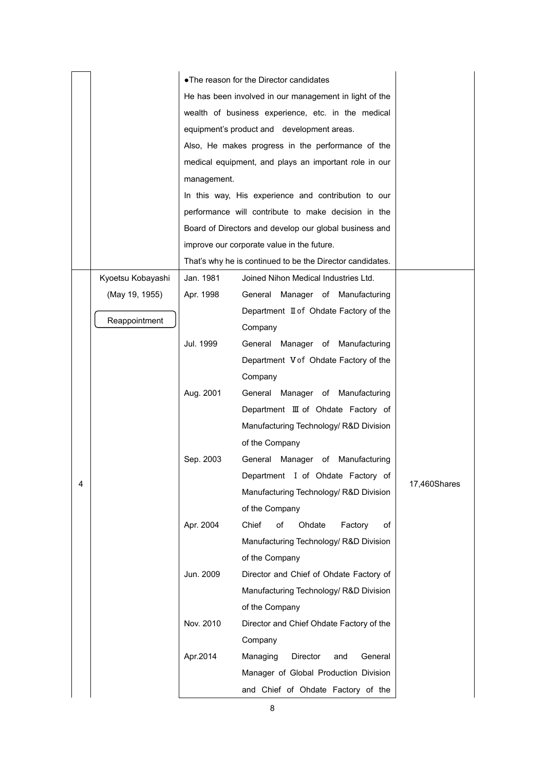|   |                   |             | . The reason for the Director candidates                  |              |
|---|-------------------|-------------|-----------------------------------------------------------|--------------|
|   |                   |             | He has been involved in our management in light of the    |              |
|   |                   |             | wealth of business experience, etc. in the medical        |              |
|   |                   |             | equipment's product and development areas.                |              |
|   |                   |             | Also, He makes progress in the performance of the         |              |
|   |                   |             | medical equipment, and plays an important role in our     |              |
|   |                   | management. |                                                           |              |
|   |                   |             | In this way, His experience and contribution to our       |              |
|   |                   |             | performance will contribute to make decision in the       |              |
|   |                   |             | Board of Directors and develop our global business and    |              |
|   |                   |             | improve our corporate value in the future.                |              |
|   |                   |             | That's why he is continued to be the Director candidates. |              |
|   | Kyoetsu Kobayashi | Jan. 1981   | Joined Nihon Medical Industries Ltd.                      |              |
|   | (May 19, 1955)    | Apr. 1998   | General Manager of Manufacturing                          |              |
|   |                   |             | Department II of Ohdate Factory of the                    |              |
|   | Reappointment     |             | Company                                                   |              |
|   |                   | Jul. 1999   | General Manager of Manufacturing                          |              |
|   |                   |             | Department V of Ohdate Factory of the                     |              |
|   |                   |             | Company                                                   |              |
|   |                   | Aug. 2001   | General Manager of Manufacturing                          |              |
|   |                   |             | Department III of Ohdate Factory of                       |              |
|   |                   |             | Manufacturing Technology/ R&D Division                    |              |
|   |                   |             | of the Company                                            |              |
|   |                   | Sep. 2003   | General Manager of Manufacturing                          |              |
| 4 |                   |             | Department I of Ohdate Factory of                         | 17,460Shares |
|   |                   |             | Manufacturing Technology/ R&D Division                    |              |
|   |                   |             | of the Company                                            |              |
|   |                   | Apr. 2004   | Chief<br>of<br>Ohdate<br>Factory<br>of                    |              |
|   |                   |             | Manufacturing Technology/ R&D Division                    |              |
|   |                   |             | of the Company                                            |              |
|   |                   | Jun. 2009   | Director and Chief of Ohdate Factory of                   |              |
|   |                   |             | Manufacturing Technology/ R&D Division                    |              |
|   |                   |             | of the Company                                            |              |
|   |                   | Nov. 2010   | Director and Chief Ohdate Factory of the                  |              |
|   |                   |             | Company                                                   |              |
|   |                   | Apr.2014    | Managing<br>Director<br>and<br>General                    |              |
|   |                   |             | Manager of Global Production Division                     |              |
|   |                   |             | and Chief of Ohdate Factory of the                        |              |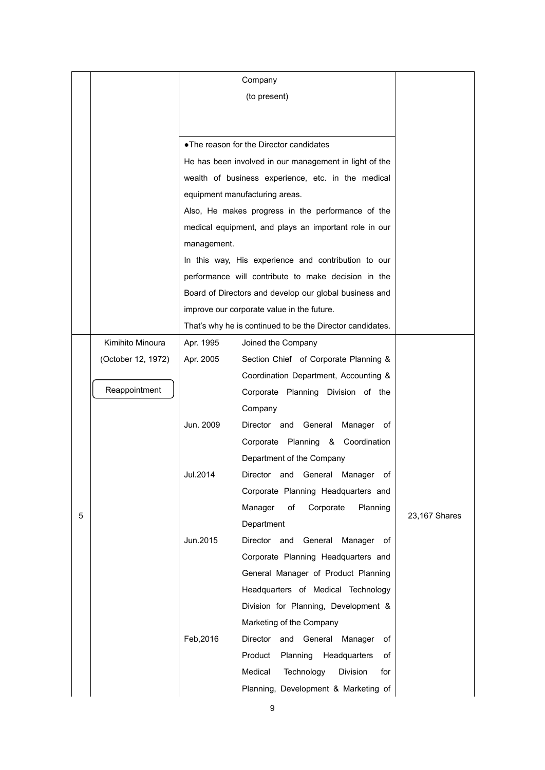|   |                    | Company     |                                                           |               |
|---|--------------------|-------------|-----------------------------------------------------------|---------------|
|   |                    |             | (to present)                                              |               |
|   |                    |             |                                                           |               |
|   |                    |             |                                                           |               |
|   |                    |             | • The reason for the Director candidates                  |               |
|   |                    |             | He has been involved in our management in light of the    |               |
|   |                    |             | wealth of business experience, etc. in the medical        |               |
|   |                    |             | equipment manufacturing areas.                            |               |
|   |                    |             | Also, He makes progress in the performance of the         |               |
|   |                    |             | medical equipment, and plays an important role in our     |               |
|   |                    | management. |                                                           |               |
|   |                    |             | In this way, His experience and contribution to our       |               |
|   |                    |             | performance will contribute to make decision in the       |               |
|   |                    |             | Board of Directors and develop our global business and    |               |
|   |                    |             | improve our corporate value in the future.                |               |
|   |                    |             | That's why he is continued to be the Director candidates. |               |
|   | Kimihito Minoura   | Apr. 1995   | Joined the Company                                        |               |
|   | (October 12, 1972) | Apr. 2005   | Section Chief of Corporate Planning &                     |               |
|   |                    |             | Coordination Department, Accounting &                     |               |
|   | Reappointment      |             | Corporate Planning Division of the                        |               |
|   |                    |             | Company                                                   |               |
|   |                    | Jun. 2009   | Director and General<br>Manager of                        |               |
|   |                    |             | Corporate Planning & Coordination                         |               |
|   |                    |             | Department of the Company                                 |               |
|   |                    | Jul.2014    | Director<br>General<br>Manager<br>and<br>оf               |               |
|   |                    |             | Corporate Planning Headquarters and                       |               |
|   |                    |             | Manager<br>οf<br>Corporate<br>Planning                    |               |
| 5 |                    |             | Department                                                | 23,167 Shares |
|   |                    | Jun.2015    | Director and<br>General<br>Manager<br>of                  |               |
|   |                    |             | Corporate Planning Headquarters and                       |               |
|   |                    |             | General Manager of Product Planning                       |               |
|   |                    |             | Headquarters of Medical Technology                        |               |
|   |                    |             | Division for Planning, Development &                      |               |
|   |                    |             | Marketing of the Company                                  |               |
|   |                    | Feb, 2016   | Director and General Manager<br>оf                        |               |
|   |                    |             | Product<br>Planning<br>Headquarters<br>of                 |               |
|   |                    |             | Medical<br>Technology<br>Division<br>for                  |               |
|   |                    |             | Planning, Development & Marketing of                      |               |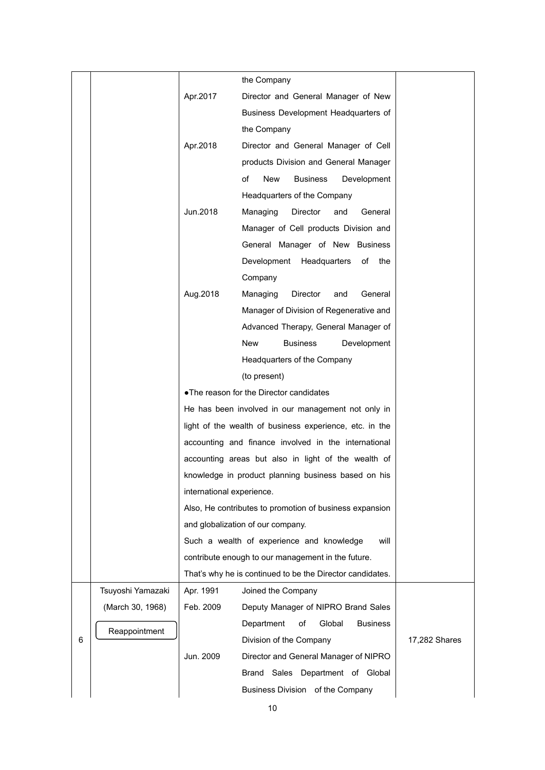|   |                   |                                                      | the Company                                               |               |
|---|-------------------|------------------------------------------------------|-----------------------------------------------------------|---------------|
|   |                   | Apr.2017                                             | Director and General Manager of New                       |               |
|   |                   |                                                      | Business Development Headquarters of                      |               |
|   |                   |                                                      | the Company                                               |               |
|   |                   | Apr.2018                                             | Director and General Manager of Cell                      |               |
|   |                   |                                                      | products Division and General Manager                     |               |
|   |                   |                                                      | of<br>New<br><b>Business</b><br>Development               |               |
|   |                   |                                                      | Headquarters of the Company                               |               |
|   |                   | Jun.2018                                             | Managing<br>Director<br>and<br>General                    |               |
|   |                   |                                                      | Manager of Cell products Division and                     |               |
|   |                   |                                                      | General Manager of New Business                           |               |
|   |                   |                                                      | Development Headquarters<br>of<br>the                     |               |
|   |                   |                                                      | Company                                                   |               |
|   |                   | Aug.2018                                             | Managing<br>Director<br>General<br>and                    |               |
|   |                   |                                                      | Manager of Division of Regenerative and                   |               |
|   |                   |                                                      | Advanced Therapy, General Manager of                      |               |
|   |                   |                                                      | <b>Business</b><br>New<br>Development                     |               |
|   |                   |                                                      | Headquarters of the Company                               |               |
|   |                   |                                                      | (to present)                                              |               |
|   |                   | • The reason for the Director candidates             |                                                           |               |
|   |                   |                                                      | He has been involved in our management not only in        |               |
|   |                   |                                                      | light of the wealth of business experience, etc. in the   |               |
|   |                   | accounting and finance involved in the international |                                                           |               |
|   |                   | accounting areas but also in light of the wealth of  |                                                           |               |
|   |                   |                                                      | knowledge in product planning business based on his       |               |
|   |                   | international experience.                            |                                                           |               |
|   |                   |                                                      | Also, He contributes to promotion of business expansion   |               |
|   |                   |                                                      | and globalization of our company.                         |               |
|   |                   |                                                      | Such a wealth of experience and knowledge<br>will         |               |
|   |                   |                                                      | contribute enough to our management in the future.        |               |
|   |                   |                                                      | That's why he is continued to be the Director candidates. |               |
|   | Tsuyoshi Yamazaki | Apr. 1991                                            | Joined the Company                                        |               |
|   | (March 30, 1968)  | Feb. 2009                                            | Deputy Manager of NIPRO Brand Sales                       |               |
|   | Reappointment     |                                                      | Global<br>Department<br>of<br><b>Business</b>             |               |
| 6 |                   |                                                      | Division of the Company                                   | 17,282 Shares |
|   |                   | Jun. 2009                                            | Director and General Manager of NIPRO                     |               |
|   |                   |                                                      | Brand Sales Department of Global                          |               |
|   |                   |                                                      | Business Division of the Company                          |               |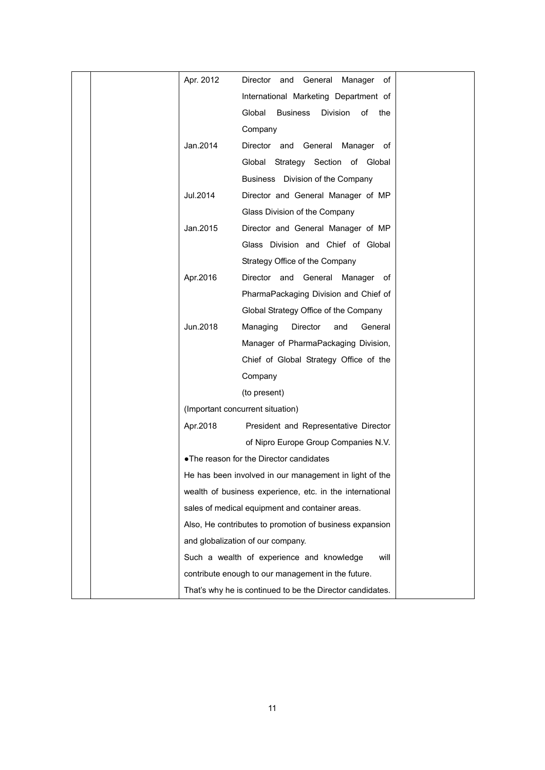|  | Apr. 2012 | Director and General Manager of                           |  |
|--|-----------|-----------------------------------------------------------|--|
|  |           | International Marketing Department of                     |  |
|  |           | <b>Business</b><br>Global<br><b>Division</b><br>of<br>the |  |
|  |           | Company                                                   |  |
|  | Jan.2014  | Director and General Manager of                           |  |
|  |           | Global Strategy Section of Global                         |  |
|  |           | Business Division of the Company                          |  |
|  | Jul.2014  | Director and General Manager of MP                        |  |
|  |           | Glass Division of the Company                             |  |
|  | Jan.2015  | Director and General Manager of MP                        |  |
|  |           | Glass Division and Chief of Global                        |  |
|  |           | Strategy Office of the Company                            |  |
|  | Apr.2016  | Director and General Manager of                           |  |
|  |           | PharmaPackaging Division and Chief of                     |  |
|  |           | Global Strategy Office of the Company                     |  |
|  | Jun.2018  | Managing<br>Director<br>General<br>and                    |  |
|  |           | Manager of PharmaPackaging Division,                      |  |
|  |           | Chief of Global Strategy Office of the                    |  |
|  |           | Company                                                   |  |
|  |           | (to present)                                              |  |
|  |           | (Important concurrent situation)                          |  |
|  | Apr.2018  | President and Representative Director                     |  |
|  |           | of Nipro Europe Group Companies N.V.                      |  |
|  |           | • The reason for the Director candidates                  |  |
|  |           | He has been involved in our management in light of the    |  |
|  |           | wealth of business experience, etc. in the international  |  |
|  |           | sales of medical equipment and container areas.           |  |
|  |           | Also, He contributes to promotion of business expansion   |  |
|  |           | and globalization of our company.                         |  |
|  |           | Such a wealth of experience and knowledge<br>will         |  |
|  |           | contribute enough to our management in the future.        |  |
|  |           | That's why he is continued to be the Director candidates. |  |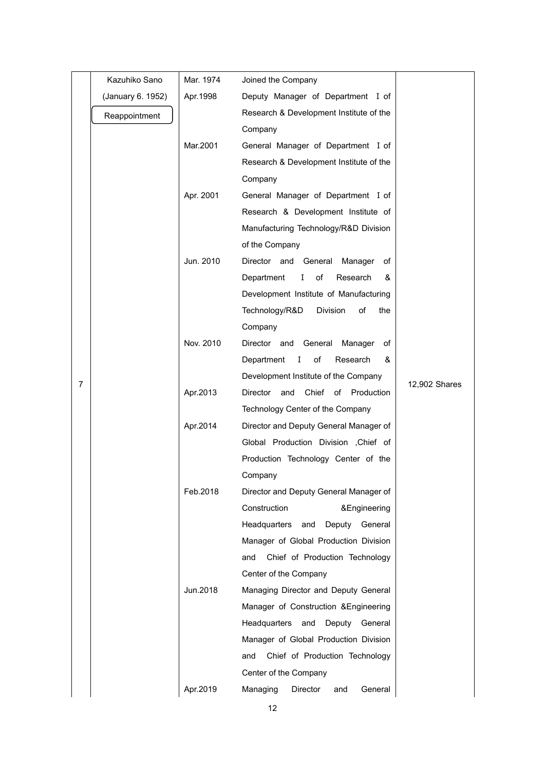|   | Kazuhiko Sano     | Mar. 1974 | Joined the Company                      |               |
|---|-------------------|-----------|-----------------------------------------|---------------|
|   | (January 6. 1952) | Apr. 1998 | Deputy Manager of Department I of       |               |
|   | Reappointment     |           | Research & Development Institute of the |               |
|   |                   |           | Company                                 |               |
|   |                   | Mar.2001  | General Manager of Department I of      |               |
|   |                   |           | Research & Development Institute of the |               |
|   |                   |           | Company                                 |               |
|   |                   | Apr. 2001 | General Manager of Department I of      |               |
|   |                   |           | Research & Development Institute of     |               |
|   |                   |           | Manufacturing Technology/R&D Division   |               |
|   |                   |           | of the Company                          |               |
|   |                   | Jun. 2010 | Director and General<br>Manager<br>of   |               |
|   |                   |           | Department<br>L<br>of<br>Research<br>&  |               |
|   |                   |           | Development Institute of Manufacturing  |               |
|   |                   |           | Technology/R&D<br>Division<br>of<br>the |               |
|   |                   |           | Company                                 |               |
|   |                   | Nov. 2010 | Director and General Manager<br>of      |               |
|   |                   |           | Department I<br>of<br>Research<br>&     |               |
| 7 |                   |           | Development Institute of the Company    | 12,902 Shares |
|   |                   | Apr.2013  | Director<br>and<br>Chief of Production  |               |
|   |                   |           | Technology Center of the Company        |               |
|   |                   | Apr.2014  | Director and Deputy General Manager of  |               |
|   |                   |           | Global Production Division , Chief of   |               |
|   |                   |           | Production Technology Center of the     |               |
|   |                   |           | Company                                 |               |
|   |                   | Feb.2018  | Director and Deputy General Manager of  |               |
|   |                   |           | Construction<br>&Engineering            |               |
|   |                   |           | Headquarters and<br>Deputy General      |               |
|   |                   |           | Manager of Global Production Division   |               |
|   |                   |           | Chief of Production Technology<br>and   |               |
|   |                   |           | Center of the Company                   |               |
|   |                   | Jun.2018  | Managing Director and Deputy General    |               |
|   |                   |           | Manager of Construction & Engineering   |               |
|   |                   |           | Headquarters and<br>Deputy<br>General   |               |
|   |                   |           | Manager of Global Production Division   |               |
|   |                   |           | Chief of Production Technology<br>and   |               |
|   |                   |           | Center of the Company                   |               |
|   |                   | Apr.2019  | Managing<br>Director<br>General<br>and  |               |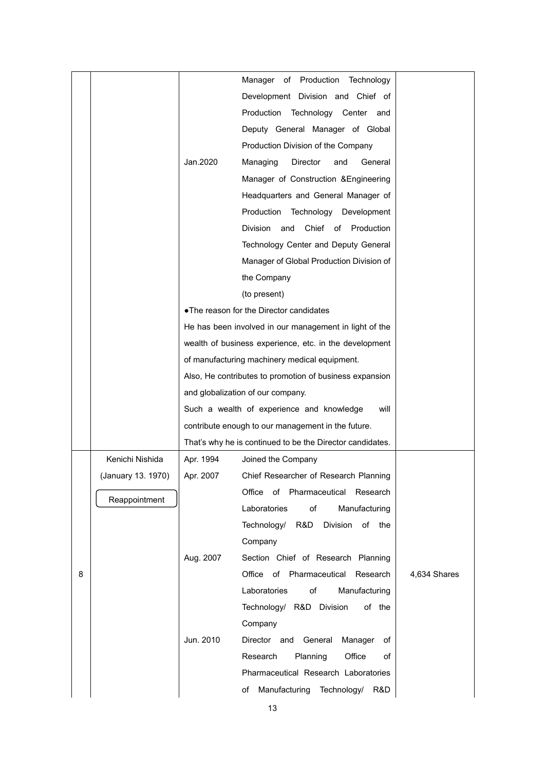|   |                    |           | Manager of Production Technology                          |              |
|---|--------------------|-----------|-----------------------------------------------------------|--------------|
|   |                    |           | Development Division and Chief of                         |              |
|   |                    |           | Production Technology Center and                          |              |
|   |                    |           | Deputy General Manager of Global                          |              |
|   |                    |           | Production Division of the Company                        |              |
|   |                    | Jan.2020  | Managing<br>Director<br>General<br>and                    |              |
|   |                    |           | Manager of Construction & Engineering                     |              |
|   |                    |           | Headquarters and General Manager of                       |              |
|   |                    |           | Production<br>Technology Development                      |              |
|   |                    |           | Division and<br>Chief of Production                       |              |
|   |                    |           | Technology Center and Deputy General                      |              |
|   |                    |           | Manager of Global Production Division of                  |              |
|   |                    |           | the Company                                               |              |
|   |                    |           | (to present)                                              |              |
|   |                    |           | • The reason for the Director candidates                  |              |
|   |                    |           | He has been involved in our management in light of the    |              |
|   |                    |           | wealth of business experience, etc. in the development    |              |
|   |                    |           | of manufacturing machinery medical equipment.             |              |
|   |                    |           | Also, He contributes to promotion of business expansion   |              |
|   |                    |           | and globalization of our company.                         |              |
|   |                    |           | Such a wealth of experience and knowledge<br>will         |              |
|   |                    |           | contribute enough to our management in the future.        |              |
|   |                    |           | That's why he is continued to be the Director candidates. |              |
|   | Kenichi Nishida    | Apr. 1994 | Joined the Company                                        |              |
|   | (January 13. 1970) | Apr. 2007 | Chief Researcher of Research Planning                     |              |
|   |                    |           | Office of Pharmaceutical Research                         |              |
|   | Reappointment      |           | Laboratories<br>of<br>Manufacturing                       |              |
|   |                    |           | Technology/ R&D Division of the                           |              |
|   |                    |           | Company                                                   |              |
|   |                    | Aug. 2007 | Section Chief of Research Planning                        |              |
| 8 |                    |           | Office of Pharmaceutical Research                         | 4,634 Shares |
|   |                    |           | of<br>Laboratories<br>Manufacturing                       |              |
|   |                    |           | Technology/ R&D Division<br>of the                        |              |
|   |                    |           | Company                                                   |              |
|   |                    | Jun. 2010 | Director and General<br>Manager<br>оf                     |              |
|   |                    |           | Research<br>Planning<br>Office<br>of                      |              |
|   |                    |           | Pharmaceutical Research Laboratories                      |              |
|   |                    |           | Manufacturing Technology/ R&D<br>of                       |              |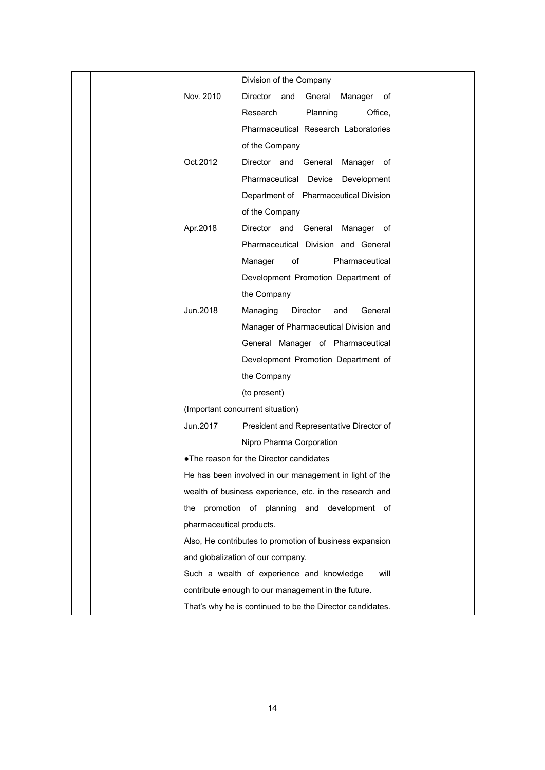|  |                          | Division of the Company                                   |
|--|--------------------------|-----------------------------------------------------------|
|  | Nov. 2010                | Director<br>and<br>Gneral<br>Manager<br>οf                |
|  |                          | Research<br>Planning<br>Office,                           |
|  |                          | Pharmaceutical Research Laboratories                      |
|  |                          | of the Company                                            |
|  | Oct.2012                 | Director and General<br>Manager of                        |
|  |                          | Pharmaceutical Device<br>Development                      |
|  |                          | Department of Pharmaceutical Division                     |
|  |                          | of the Company                                            |
|  | Apr.2018                 | Director and General<br>Manager of                        |
|  |                          | Pharmaceutical Division and General                       |
|  |                          | of<br>Manager<br>Pharmaceutical                           |
|  |                          | Development Promotion Department of                       |
|  |                          | the Company                                               |
|  | Jun.2018                 | Managing<br>Director<br>General<br>and                    |
|  |                          | Manager of Pharmaceutical Division and                    |
|  |                          | General Manager of Pharmaceutical                         |
|  |                          | Development Promotion Department of                       |
|  |                          | the Company                                               |
|  |                          | (to present)                                              |
|  |                          | (Important concurrent situation)                          |
|  | Jun.2017                 | President and Representative Director of                  |
|  |                          | Nipro Pharma Corporation                                  |
|  |                          | • The reason for the Director candidates                  |
|  |                          | He has been involved in our management in light of the    |
|  |                          | wealth of business experience, etc. in the research and   |
|  | the                      | promotion of planning and development of                  |
|  | pharmaceutical products. |                                                           |
|  |                          | Also, He contributes to promotion of business expansion   |
|  |                          | and globalization of our company.                         |
|  |                          | Such a wealth of experience and knowledge<br>will         |
|  |                          | contribute enough to our management in the future.        |
|  |                          | That's why he is continued to be the Director candidates. |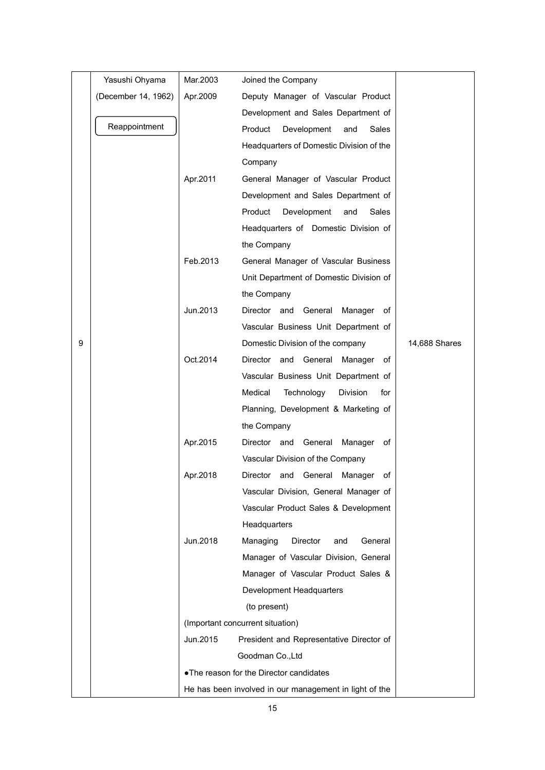|   | Yasushi Ohyama      | Mar.2003 | Joined the Company                                     |               |  |
|---|---------------------|----------|--------------------------------------------------------|---------------|--|
|   | (December 14, 1962) | Apr.2009 | Deputy Manager of Vascular Product                     |               |  |
|   |                     |          | Development and Sales Department of                    |               |  |
|   | Reappointment       |          | Product<br>Development<br>Sales<br>and                 |               |  |
|   |                     |          | Headquarters of Domestic Division of the               |               |  |
|   |                     |          | Company                                                |               |  |
|   |                     | Apr.2011 | General Manager of Vascular Product                    |               |  |
|   |                     |          | Development and Sales Department of                    |               |  |
|   |                     |          | Product<br>Development<br>Sales<br>and                 |               |  |
|   |                     |          | Headquarters of Domestic Division of                   |               |  |
|   |                     |          | the Company                                            |               |  |
|   |                     | Feb.2013 | General Manager of Vascular Business                   |               |  |
|   |                     |          | Unit Department of Domestic Division of                |               |  |
|   |                     |          | the Company                                            |               |  |
|   |                     | Jun.2013 | Director and General<br>Manager of                     |               |  |
|   |                     |          | Vascular Business Unit Department of                   |               |  |
| 9 |                     |          | Domestic Division of the company                       | 14,688 Shares |  |
|   |                     | Oct.2014 | Director and General Manager of                        |               |  |
|   |                     |          | Vascular Business Unit Department of                   |               |  |
|   |                     |          | Medical<br>Technology<br><b>Division</b><br>for        |               |  |
|   |                     |          | Planning, Development & Marketing of                   |               |  |
|   |                     |          | the Company                                            |               |  |
|   |                     | Apr.2015 | Director and General<br>of<br>Manager                  |               |  |
|   |                     |          | Vascular Division of the Company                       |               |  |
|   |                     | Apr.2018 | Director and<br>General<br>of<br>Manager               |               |  |
|   |                     |          | Vascular Division, General Manager of                  |               |  |
|   |                     |          | Vascular Product Sales & Development                   |               |  |
|   |                     |          | Headquarters                                           |               |  |
|   |                     | Jun.2018 | Managing<br>Director<br>General<br>and                 |               |  |
|   |                     |          | Manager of Vascular Division, General                  |               |  |
|   |                     |          | Manager of Vascular Product Sales &                    |               |  |
|   |                     |          | Development Headquarters                               |               |  |
|   |                     |          | (to present)                                           |               |  |
|   |                     |          | (Important concurrent situation)                       |               |  |
|   |                     | Jun.2015 | President and Representative Director of               |               |  |
|   |                     |          | Goodman Co., Ltd                                       |               |  |
|   |                     |          | . The reason for the Director candidates               |               |  |
|   |                     |          | He has been involved in our management in light of the |               |  |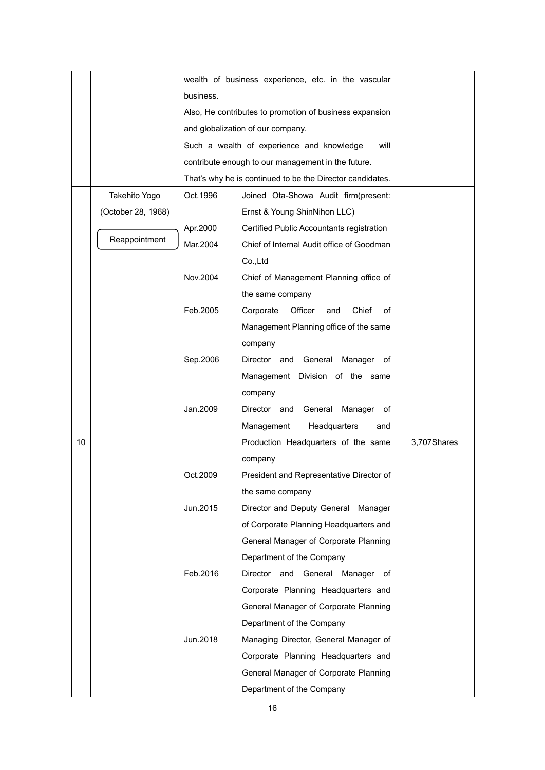|    |                    | wealth of business experience, etc. in the vascular     |                                                           |             |  |
|----|--------------------|---------------------------------------------------------|-----------------------------------------------------------|-------------|--|
|    |                    | business.                                               |                                                           |             |  |
|    |                    | Also, He contributes to promotion of business expansion |                                                           |             |  |
|    |                    |                                                         | and globalization of our company.                         |             |  |
|    |                    |                                                         | Such a wealth of experience and knowledge<br>will         |             |  |
|    |                    |                                                         | contribute enough to our management in the future.        |             |  |
|    |                    |                                                         | That's why he is continued to be the Director candidates. |             |  |
|    | Takehito Yogo      | Oct.1996                                                | Joined Ota-Showa Audit firm(present:                      |             |  |
|    | (October 28, 1968) |                                                         | Ernst & Young ShinNihon LLC)                              |             |  |
|    |                    | Apr.2000                                                | Certified Public Accountants registration                 |             |  |
|    | Reappointment      | Mar.2004                                                | Chief of Internal Audit office of Goodman                 |             |  |
|    |                    |                                                         | Co., Ltd                                                  |             |  |
|    |                    | Nov.2004                                                | Chief of Management Planning office of                    |             |  |
|    |                    |                                                         | the same company                                          |             |  |
|    |                    | Feb.2005                                                | Corporate<br>Officer<br>Chief<br>of<br>and                |             |  |
|    |                    |                                                         | Management Planning office of the same                    |             |  |
|    |                    |                                                         | company                                                   |             |  |
|    |                    | Sep.2006                                                | General<br>Manager<br>Director and<br>оf                  |             |  |
|    |                    |                                                         | Management Division of the same                           |             |  |
|    |                    |                                                         | company                                                   |             |  |
|    |                    | Jan.2009                                                | General<br>Director and<br>Manager<br>оf                  |             |  |
|    |                    |                                                         | Management<br>Headquarters<br>and                         |             |  |
| 10 |                    |                                                         | Production Headquarters of the same                       | 3,707Shares |  |
|    |                    |                                                         | company                                                   |             |  |
|    |                    | Oct.2009                                                | President and Representative Director of                  |             |  |
|    |                    |                                                         | the same company                                          |             |  |
|    |                    | Jun.2015                                                | Director and Deputy General Manager                       |             |  |
|    |                    |                                                         | of Corporate Planning Headquarters and                    |             |  |
|    |                    |                                                         | General Manager of Corporate Planning                     |             |  |
|    |                    |                                                         | Department of the Company                                 |             |  |
|    |                    | Feb.2016                                                | General<br>Director<br>and<br>Manager<br>of               |             |  |
|    |                    |                                                         | Corporate Planning Headquarters and                       |             |  |
|    |                    |                                                         | General Manager of Corporate Planning                     |             |  |
|    |                    |                                                         | Department of the Company                                 |             |  |
|    |                    | Jun.2018                                                | Managing Director, General Manager of                     |             |  |
|    |                    |                                                         | Corporate Planning Headquarters and                       |             |  |
|    |                    |                                                         | General Manager of Corporate Planning                     |             |  |
|    |                    |                                                         | Department of the Company                                 |             |  |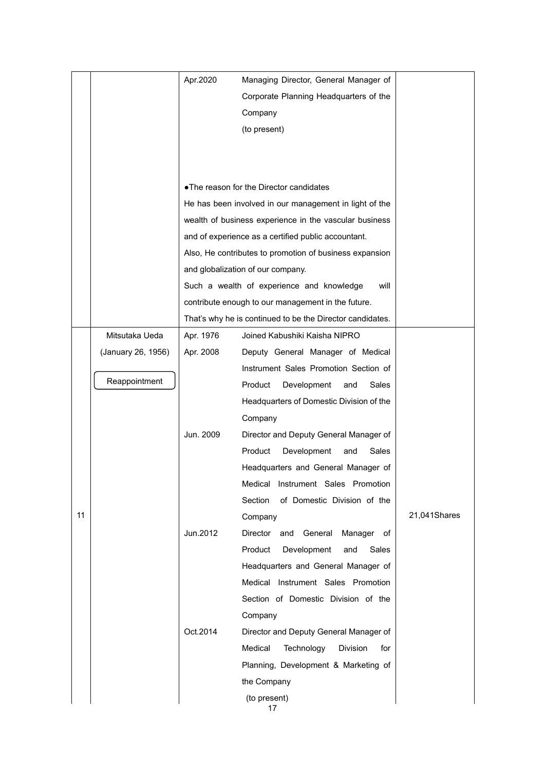|    |                    | Apr.2020  | Managing Director, General Manager of                                                   |              |
|----|--------------------|-----------|-----------------------------------------------------------------------------------------|--------------|
|    |                    |           | Corporate Planning Headquarters of the                                                  |              |
|    |                    |           | Company                                                                                 |              |
|    |                    |           | (to present)                                                                            |              |
|    |                    |           |                                                                                         |              |
|    |                    |           |                                                                                         |              |
|    |                    |           | • The reason for the Director candidates                                                |              |
|    |                    |           | He has been involved in our management in light of the                                  |              |
|    |                    |           | wealth of business experience in the vascular business                                  |              |
|    |                    |           | and of experience as a certified public accountant.                                     |              |
|    |                    |           | Also, He contributes to promotion of business expansion                                 |              |
|    |                    |           | and globalization of our company.                                                       |              |
|    |                    |           | Such a wealth of experience and knowledge<br>will                                       |              |
|    |                    |           | contribute enough to our management in the future.                                      |              |
|    |                    |           | That's why he is continued to be the Director candidates.                               |              |
|    | Mitsutaka Ueda     | Apr. 1976 | Joined Kabushiki Kaisha NIPRO                                                           |              |
|    | (January 26, 1956) | Apr. 2008 | Deputy General Manager of Medical                                                       |              |
|    |                    |           | Instrument Sales Promotion Section of                                                   |              |
|    | Reappointment      |           | Product<br>Development<br>Sales<br>and                                                  |              |
|    |                    |           | Headquarters of Domestic Division of the                                                |              |
|    |                    |           | Company                                                                                 |              |
|    |                    | Jun. 2009 | Director and Deputy General Manager of                                                  |              |
|    |                    |           | Product<br>Development<br>Sales<br>and                                                  |              |
|    |                    |           | Headquarters and General Manager of                                                     |              |
|    |                    |           | Instrument Sales Promotion<br>Medical                                                   |              |
|    |                    |           | Section<br>of Domestic Division of the                                                  |              |
| 11 |                    |           | Company                                                                                 | 21,041Shares |
|    |                    | Jun.2012  | Director and General<br>Manager of                                                      |              |
|    |                    |           | Product<br>Development<br>Sales<br>and                                                  |              |
|    |                    |           | Headquarters and General Manager of                                                     |              |
|    |                    |           | Medical Instrument Sales Promotion                                                      |              |
|    |                    |           | Section of Domestic Division of the                                                     |              |
|    |                    |           | Company                                                                                 |              |
|    |                    | Oct.2014  | Director and Deputy General Manager of                                                  |              |
|    |                    |           | Medical<br>Technology<br><b>Division</b><br>for<br>Planning, Development & Marketing of |              |
|    |                    |           | the Company                                                                             |              |
|    |                    |           | (to present)                                                                            |              |
|    |                    |           | 17                                                                                      |              |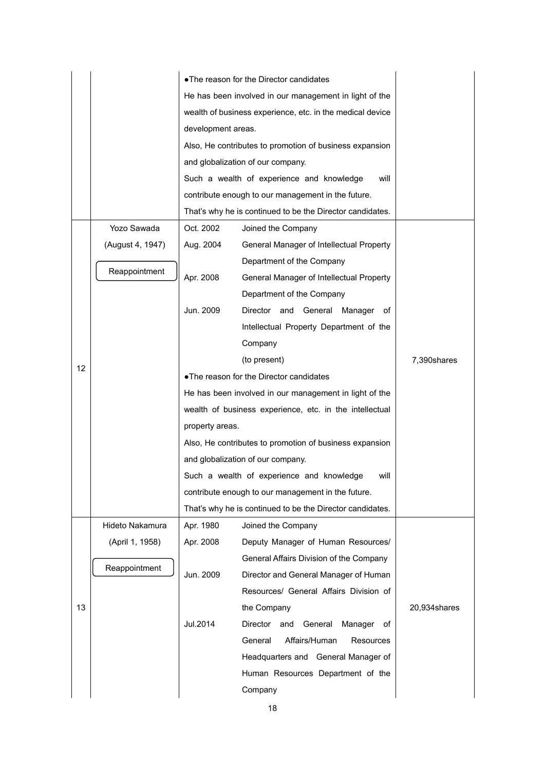|    |                  |                                                        | • The reason for the Director candidates                  |              |  |  |
|----|------------------|--------------------------------------------------------|-----------------------------------------------------------|--------------|--|--|
|    |                  | He has been involved in our management in light of the |                                                           |              |  |  |
|    |                  |                                                        | wealth of business experience, etc. in the medical device |              |  |  |
|    |                  |                                                        | development areas.                                        |              |  |  |
|    |                  |                                                        | Also, He contributes to promotion of business expansion   |              |  |  |
|    |                  |                                                        | and globalization of our company.                         |              |  |  |
|    |                  |                                                        | Such a wealth of experience and knowledge<br>will         |              |  |  |
|    |                  |                                                        | contribute enough to our management in the future.        |              |  |  |
|    |                  |                                                        | That's why he is continued to be the Director candidates. |              |  |  |
|    | Yozo Sawada      | Oct. 2002                                              | Joined the Company                                        |              |  |  |
|    | (August 4, 1947) | Aug. 2004                                              | General Manager of Intellectual Property                  |              |  |  |
|    |                  |                                                        | Department of the Company                                 |              |  |  |
|    | Reappointment    | Apr. 2008                                              | General Manager of Intellectual Property                  |              |  |  |
|    |                  |                                                        | Department of the Company                                 |              |  |  |
|    |                  | Jun. 2009                                              | Director and General Manager of                           |              |  |  |
|    |                  |                                                        | Intellectual Property Department of the                   |              |  |  |
|    |                  |                                                        | Company                                                   |              |  |  |
|    |                  |                                                        | (to present)                                              | 7,390shares  |  |  |
| 12 |                  |                                                        | • The reason for the Director candidates                  |              |  |  |
|    |                  |                                                        | He has been involved in our management in light of the    |              |  |  |
|    |                  |                                                        | wealth of business experience, etc. in the intellectual   |              |  |  |
|    |                  | property areas.                                        |                                                           |              |  |  |
|    |                  |                                                        | Also, He contributes to promotion of business expansion   |              |  |  |
|    |                  |                                                        | and globalization of our company.                         |              |  |  |
|    |                  |                                                        | Such a wealth of experience and knowledge<br>will         |              |  |  |
|    |                  |                                                        | contribute enough to our management in the future.        |              |  |  |
|    |                  |                                                        | That's why he is continued to be the Director candidates. |              |  |  |
|    | Hideto Nakamura  | Apr. 1980                                              | Joined the Company                                        |              |  |  |
|    | (April 1, 1958)  | Apr. 2008                                              | Deputy Manager of Human Resources/                        |              |  |  |
|    |                  |                                                        | General Affairs Division of the Company                   |              |  |  |
|    | Reappointment    | Jun. 2009                                              | Director and General Manager of Human                     |              |  |  |
|    |                  |                                                        | Resources/ General Affairs Division of                    |              |  |  |
| 13 |                  |                                                        | the Company                                               | 20,934shares |  |  |
|    |                  | Jul.2014                                               | Director<br>and<br>General<br>Manager<br>of               |              |  |  |
|    |                  |                                                        | Affairs/Human<br>General<br>Resources                     |              |  |  |
|    |                  |                                                        | Headquarters and General Manager of                       |              |  |  |
|    |                  |                                                        | Human Resources Department of the                         |              |  |  |
|    |                  |                                                        | Company                                                   |              |  |  |

18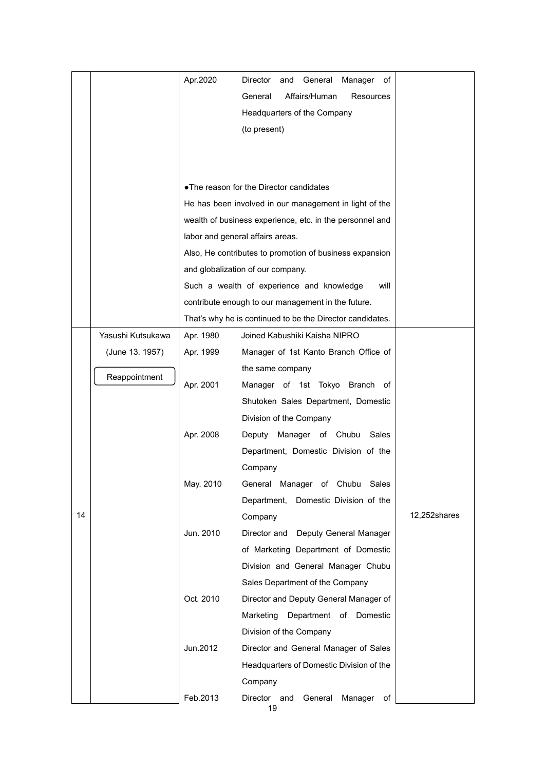|    |                   | Apr.2020  | Director<br>General<br>and<br>Manager<br>оf<br>Affairs/Human<br>General<br>Resources<br>Headquarters of the Company<br>(to present)                                                                                                                                                                |              |
|----|-------------------|-----------|----------------------------------------------------------------------------------------------------------------------------------------------------------------------------------------------------------------------------------------------------------------------------------------------------|--------------|
|    |                   |           | • The reason for the Director candidates<br>He has been involved in our management in light of the<br>wealth of business experience, etc. in the personnel and<br>labor and general affairs areas.<br>Also, He contributes to promotion of business expansion<br>and globalization of our company. |              |
|    |                   |           | Such a wealth of experience and knowledge<br>will<br>contribute enough to our management in the future.<br>That's why he is continued to be the Director candidates.                                                                                                                               |              |
|    | Yasushi Kutsukawa | Apr. 1980 | Joined Kabushiki Kaisha NIPRO                                                                                                                                                                                                                                                                      |              |
|    | (June 13. 1957)   | Apr. 1999 | Manager of 1st Kanto Branch Office of                                                                                                                                                                                                                                                              |              |
|    |                   |           | the same company                                                                                                                                                                                                                                                                                   |              |
|    | Reappointment     | Apr. 2001 | Manager of 1st Tokyo Branch of                                                                                                                                                                                                                                                                     |              |
|    |                   |           | Shutoken Sales Department, Domestic                                                                                                                                                                                                                                                                |              |
|    |                   |           | Division of the Company                                                                                                                                                                                                                                                                            |              |
|    |                   | Apr. 2008 | Manager of Chubu<br>Deputy<br>Sales                                                                                                                                                                                                                                                                |              |
|    |                   |           | Department, Domestic Division of the                                                                                                                                                                                                                                                               |              |
|    |                   |           | Company                                                                                                                                                                                                                                                                                            |              |
|    |                   | May. 2010 | General Manager of Chubu<br>Sales                                                                                                                                                                                                                                                                  |              |
| 14 |                   |           | Department,<br>Domestic Division of the                                                                                                                                                                                                                                                            | 12,252shares |
|    |                   | Jun. 2010 | Company<br>Director and<br>Deputy General Manager                                                                                                                                                                                                                                                  |              |
|    |                   |           | of Marketing Department of Domestic                                                                                                                                                                                                                                                                |              |
|    |                   |           | Division and General Manager Chubu                                                                                                                                                                                                                                                                 |              |
|    |                   |           | Sales Department of the Company                                                                                                                                                                                                                                                                    |              |
|    |                   | Oct. 2010 | Director and Deputy General Manager of                                                                                                                                                                                                                                                             |              |
|    |                   |           | Marketing<br>Department of<br>Domestic                                                                                                                                                                                                                                                             |              |
|    |                   |           | Division of the Company                                                                                                                                                                                                                                                                            |              |
|    |                   | Jun.2012  | Director and General Manager of Sales                                                                                                                                                                                                                                                              |              |
|    |                   |           | Headquarters of Domestic Division of the                                                                                                                                                                                                                                                           |              |
|    |                   |           | Company                                                                                                                                                                                                                                                                                            |              |
|    |                   | Feb.2013  | Director and<br>General<br>Manager<br>оf<br>19                                                                                                                                                                                                                                                     |              |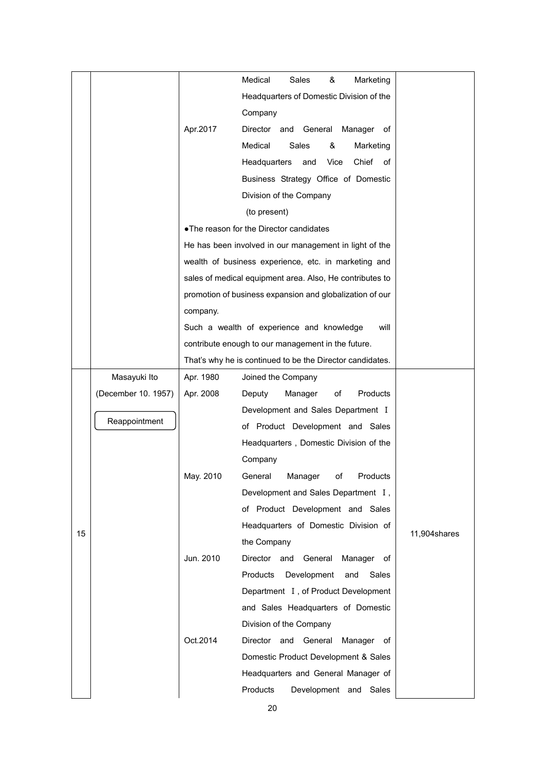|    |                     |           | Medical<br>Sales<br>&<br>Marketing                        |              |
|----|---------------------|-----------|-----------------------------------------------------------|--------------|
|    |                     |           | Headquarters of Domestic Division of the                  |              |
|    |                     |           | Company                                                   |              |
|    |                     | Apr.2017  | Director and General<br>Manager of                        |              |
|    |                     |           | Medical<br>Sales<br>&<br>Marketing                        |              |
|    |                     |           | Chief of<br>Headquarters<br>Vice<br>and                   |              |
|    |                     |           | Business Strategy Office of Domestic                      |              |
|    |                     |           |                                                           |              |
|    |                     |           | Division of the Company                                   |              |
|    |                     |           | (to present)                                              |              |
|    |                     |           | . The reason for the Director candidates                  |              |
|    |                     |           | He has been involved in our management in light of the    |              |
|    |                     |           | wealth of business experience, etc. in marketing and      |              |
|    |                     |           | sales of medical equipment area. Also, He contributes to  |              |
|    |                     |           | promotion of business expansion and globalization of our  |              |
|    |                     | company.  |                                                           |              |
|    |                     |           | Such a wealth of experience and knowledge<br>will         |              |
|    |                     |           | contribute enough to our management in the future.        |              |
|    |                     |           | That's why he is continued to be the Director candidates. |              |
|    | Masayuki Ito        | Apr. 1980 | Joined the Company                                        |              |
|    | (December 10. 1957) | Apr. 2008 | Products<br>Deputy<br>Manager<br>оf                       |              |
|    | Reappointment       |           | Development and Sales Department I                        |              |
|    |                     |           | of Product Development and Sales                          |              |
|    |                     |           | Headquarters, Domestic Division of the                    |              |
|    |                     |           | Company                                                   |              |
|    |                     | May. 2010 | General<br>Manager<br>of<br>Products                      |              |
|    |                     |           | Development and Sales Department I,                       |              |
|    |                     |           | of Product Development and Sales                          |              |
| 15 |                     |           | Headquarters of Domestic Division of                      | 11,904shares |
|    |                     |           | the Company                                               |              |
|    |                     | Jun. 2010 | Director<br>and<br>General<br>Manager of                  |              |
|    |                     |           | Products<br>Development<br>Sales<br>and                   |              |
|    |                     |           | Department I, of Product Development                      |              |
|    |                     |           | and Sales Headquarters of Domestic                        |              |
|    |                     |           | Division of the Company                                   |              |
|    |                     | Oct.2014  | Director<br>and General<br>Manager of                     |              |
|    |                     |           | Domestic Product Development & Sales                      |              |
|    |                     |           | Headquarters and General Manager of                       |              |
|    |                     |           | Products<br>Development and Sales                         |              |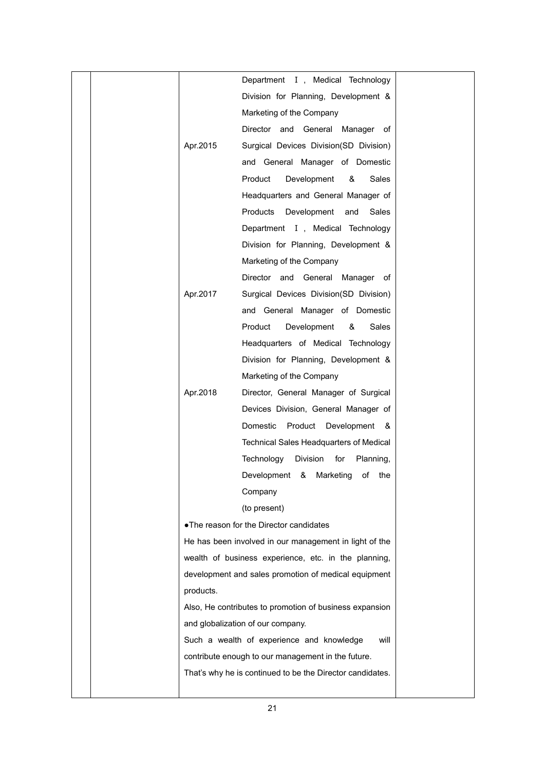|  |           | Department I, Medical Technology                          |  |
|--|-----------|-----------------------------------------------------------|--|
|  |           | Division for Planning, Development &                      |  |
|  |           | Marketing of the Company                                  |  |
|  |           | Director and General Manager of                           |  |
|  | Apr.2015  | Surgical Devices Division(SD Division)                    |  |
|  |           | and General Manager of Domestic                           |  |
|  |           | Product<br>Development<br>&<br><b>Sales</b>               |  |
|  |           | Headquarters and General Manager of                       |  |
|  |           | Products<br>Development and<br>Sales                      |  |
|  |           | Department I, Medical Technology                          |  |
|  |           | Division for Planning, Development &                      |  |
|  |           | Marketing of the Company                                  |  |
|  |           | Director and General Manager of                           |  |
|  | Apr.2017  | Surgical Devices Division(SD Division)                    |  |
|  |           | and General Manager of Domestic                           |  |
|  |           | Product<br>Development<br>&<br>Sales                      |  |
|  |           | Headquarters of Medical Technology                        |  |
|  |           | Division for Planning, Development &                      |  |
|  |           | Marketing of the Company                                  |  |
|  | Apr.2018  | Director, General Manager of Surgical                     |  |
|  |           | Devices Division, General Manager of                      |  |
|  |           | Domestic<br>Product Development &                         |  |
|  |           | Technical Sales Headquarters of Medical                   |  |
|  |           | Technology Division<br>for<br>Planning,                   |  |
|  |           | Development &<br>Marketing<br>of the                      |  |
|  |           | Company                                                   |  |
|  |           | (to present)                                              |  |
|  |           | • The reason for the Director candidates                  |  |
|  |           | He has been involved in our management in light of the    |  |
|  |           | wealth of business experience, etc. in the planning,      |  |
|  |           | development and sales promotion of medical equipment      |  |
|  | products. |                                                           |  |
|  |           | Also, He contributes to promotion of business expansion   |  |
|  |           | and globalization of our company.                         |  |
|  |           | Such a wealth of experience and knowledge<br>will         |  |
|  |           | contribute enough to our management in the future.        |  |
|  |           | That's why he is continued to be the Director candidates. |  |
|  |           |                                                           |  |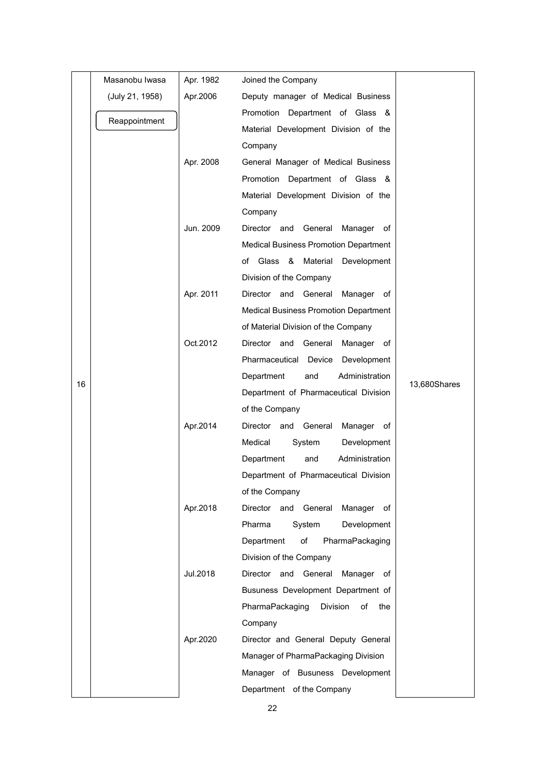|    | Masanobu Iwasa  | Apr. 1982 | Joined the Company                           |              |
|----|-----------------|-----------|----------------------------------------------|--------------|
|    | (July 21, 1958) | Apr.2006  | Deputy manager of Medical Business           |              |
|    |                 |           | Promotion Department of Glass &              |              |
|    | Reappointment   |           | Material Development Division of the         |              |
|    |                 |           | Company                                      |              |
|    |                 | Apr. 2008 | General Manager of Medical Business          |              |
|    |                 |           | Promotion Department of Glass &              |              |
|    |                 |           | Material Development Division of the         |              |
|    |                 |           | Company                                      |              |
|    |                 | Jun. 2009 | Director and General Manager of              |              |
|    |                 |           | <b>Medical Business Promotion Department</b> |              |
|    |                 |           | of Glass & Material<br>Development           |              |
|    |                 |           | Division of the Company                      |              |
|    |                 | Apr. 2011 | Director and General Manager of              |              |
|    |                 |           | <b>Medical Business Promotion Department</b> |              |
|    |                 |           | of Material Division of the Company          |              |
|    |                 | Oct.2012  | Director and<br>General<br>Manager of        |              |
|    |                 |           | Pharmaceutical Device<br>Development         |              |
| 16 |                 |           | Department<br>Administration<br>and          | 13,680Shares |
|    |                 |           | Department of Pharmaceutical Division        |              |
|    |                 |           | of the Company                               |              |
|    |                 | Apr.2014  | Director and General<br>Manager of           |              |
|    |                 |           | Medical<br>System<br>Development             |              |
|    |                 |           | Department<br>Administration<br>and          |              |
|    |                 |           | Department of Pharmaceutical Division        |              |
|    |                 |           | of the Company                               |              |
|    |                 | Apr.2018  | Director and General<br>Manager<br>of        |              |
|    |                 |           | Pharma<br>System<br>Development              |              |
|    |                 |           | PharmaPackaging<br>Department<br>of          |              |
|    |                 |           | Division of the Company                      |              |
|    |                 | Jul.2018  | Director and General Manager of              |              |
|    |                 |           | Busuness Development Department of           |              |
|    |                 |           | PharmaPackaging<br>Division<br>of<br>the     |              |
|    |                 |           | Company                                      |              |
|    |                 | Apr.2020  | Director and General Deputy General          |              |
|    |                 |           | Manager of PharmaPackaging Division          |              |
|    |                 |           | Manager of Busuness Development              |              |
|    |                 |           | Department of the Company                    |              |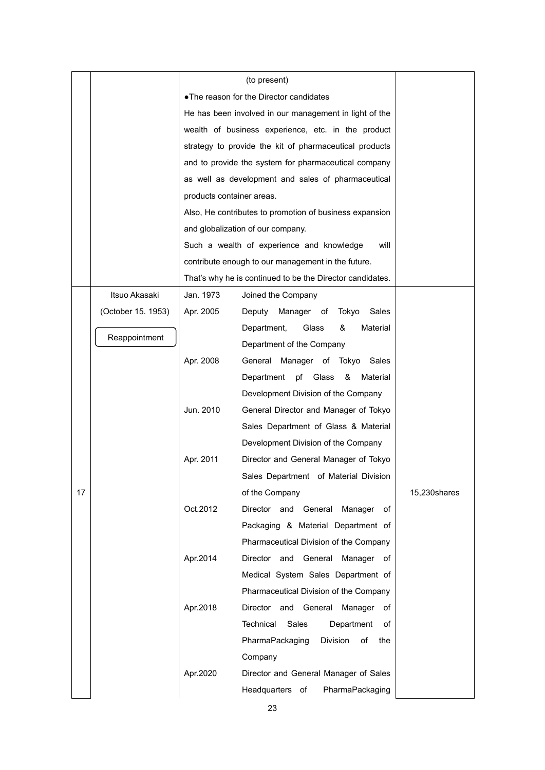|    |                    |                                          | (to present)                                              |              |  |  |  |
|----|--------------------|------------------------------------------|-----------------------------------------------------------|--------------|--|--|--|
|    |                    | . The reason for the Director candidates |                                                           |              |  |  |  |
|    |                    |                                          | He has been involved in our management in light of the    |              |  |  |  |
|    |                    |                                          | wealth of business experience, etc. in the product        |              |  |  |  |
|    |                    |                                          | strategy to provide the kit of pharmaceutical products    |              |  |  |  |
|    |                    |                                          | and to provide the system for pharmaceutical company      |              |  |  |  |
|    |                    |                                          | as well as development and sales of pharmaceutical        |              |  |  |  |
|    |                    | products container areas.                |                                                           |              |  |  |  |
|    |                    |                                          | Also, He contributes to promotion of business expansion   |              |  |  |  |
|    |                    |                                          | and globalization of our company.                         |              |  |  |  |
|    |                    |                                          | Such a wealth of experience and knowledge<br>will         |              |  |  |  |
|    |                    |                                          | contribute enough to our management in the future.        |              |  |  |  |
|    |                    |                                          | That's why he is continued to be the Director candidates. |              |  |  |  |
|    | Itsuo Akasaki      | Jan. 1973                                | Joined the Company                                        |              |  |  |  |
|    | (October 15. 1953) | Apr. 2005                                | Manager of Tokyo Sales<br>Deputy                          |              |  |  |  |
|    |                    |                                          | Material<br>Glass<br>&<br>Department,                     |              |  |  |  |
|    | Reappointment      |                                          | Department of the Company                                 |              |  |  |  |
|    |                    | Apr. 2008                                | General Manager of Tokyo<br>Sales                         |              |  |  |  |
|    |                    |                                          | &<br>pf<br>Glass<br>Material<br>Department                |              |  |  |  |
|    |                    |                                          | Development Division of the Company                       |              |  |  |  |
|    |                    | Jun. 2010                                | General Director and Manager of Tokyo                     |              |  |  |  |
|    |                    |                                          | Sales Department of Glass & Material                      |              |  |  |  |
|    |                    |                                          | Development Division of the Company                       |              |  |  |  |
|    |                    | Apr. 2011                                | Director and General Manager of Tokyo                     |              |  |  |  |
|    |                    |                                          | Sales Department of Material Division                     |              |  |  |  |
| 17 |                    |                                          | of the Company                                            | 15,230shares |  |  |  |
|    |                    | Oct.2012                                 | Director and General<br>Manager of                        |              |  |  |  |
|    |                    |                                          | Packaging & Material Department of                        |              |  |  |  |
|    |                    |                                          | Pharmaceutical Division of the Company                    |              |  |  |  |
|    |                    | Apr.2014                                 | Director<br>and General<br>Manager of                     |              |  |  |  |
|    |                    |                                          | Medical System Sales Department of                        |              |  |  |  |
|    |                    |                                          | Pharmaceutical Division of the Company                    |              |  |  |  |
|    |                    | Apr.2018                                 | Director and General<br>Manager of                        |              |  |  |  |
|    |                    |                                          | Technical<br>Sales<br>Department<br>оf                    |              |  |  |  |
|    |                    |                                          | PharmaPackaging<br>Division<br>of<br>the                  |              |  |  |  |
|    |                    |                                          | Company                                                   |              |  |  |  |
|    |                    | Apr.2020                                 | Director and General Manager of Sales                     |              |  |  |  |
|    |                    |                                          | Headquarters of<br>PharmaPackaging                        |              |  |  |  |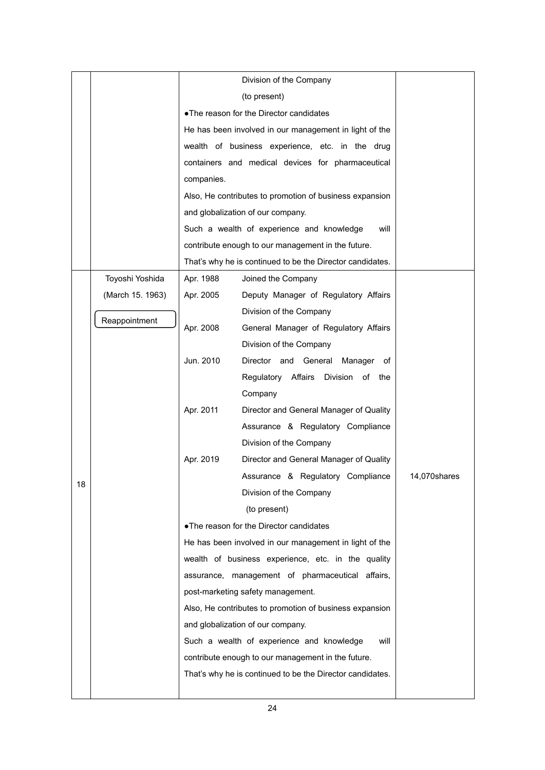|    |                  |            | • The reason for the Director candidates                  |              |  |  |
|----|------------------|------------|-----------------------------------------------------------|--------------|--|--|
|    |                  |            | He has been involved in our management in light of the    |              |  |  |
|    |                  |            | wealth of business experience, etc. in the drug           |              |  |  |
|    |                  |            | containers and medical devices for pharmaceutical         |              |  |  |
|    |                  | companies. |                                                           |              |  |  |
|    |                  |            | Also, He contributes to promotion of business expansion   |              |  |  |
|    |                  |            | and globalization of our company.                         |              |  |  |
|    |                  |            | Such a wealth of experience and knowledge<br>will         |              |  |  |
|    |                  |            | contribute enough to our management in the future.        |              |  |  |
|    |                  |            | That's why he is continued to be the Director candidates. |              |  |  |
|    | Toyoshi Yoshida  | Apr. 1988  | Joined the Company                                        |              |  |  |
|    | (March 15. 1963) | Apr. 2005  | Deputy Manager of Regulatory Affairs                      |              |  |  |
|    |                  |            | Division of the Company                                   |              |  |  |
|    | Reappointment    | Apr. 2008  | General Manager of Regulatory Affairs                     |              |  |  |
|    |                  |            | Division of the Company                                   |              |  |  |
|    |                  | Jun. 2010  | Director and General<br>Manager of                        |              |  |  |
|    |                  |            | Regulatory Affairs Division of the                        |              |  |  |
|    |                  |            | Company                                                   |              |  |  |
|    |                  | Apr. 2011  | Director and General Manager of Quality                   |              |  |  |
|    |                  |            | Assurance & Regulatory Compliance                         |              |  |  |
|    |                  |            | Division of the Company                                   |              |  |  |
|    |                  | Apr. 2019  | Director and General Manager of Quality                   |              |  |  |
| 18 |                  |            | Assurance & Regulatory Compliance                         | 14,070shares |  |  |
|    |                  |            | Division of the Company                                   |              |  |  |
|    |                  |            | (to present)                                              |              |  |  |
|    |                  |            | . The reason for the Director candidates                  |              |  |  |
|    |                  |            | He has been involved in our management in light of the    |              |  |  |
|    |                  |            | wealth of business experience, etc. in the quality        |              |  |  |
|    |                  |            | assurance, management of pharmaceutical affairs,          |              |  |  |
|    |                  |            | post-marketing safety management.                         |              |  |  |
|    |                  |            | Also, He contributes to promotion of business expansion   |              |  |  |
|    |                  |            | and globalization of our company.                         |              |  |  |
|    |                  |            | Such a wealth of experience and knowledge<br>will         |              |  |  |
|    |                  |            | contribute enough to our management in the future.        |              |  |  |
|    |                  |            | That's why he is continued to be the Director candidates. |              |  |  |
|    |                  |            |                                                           |              |  |  |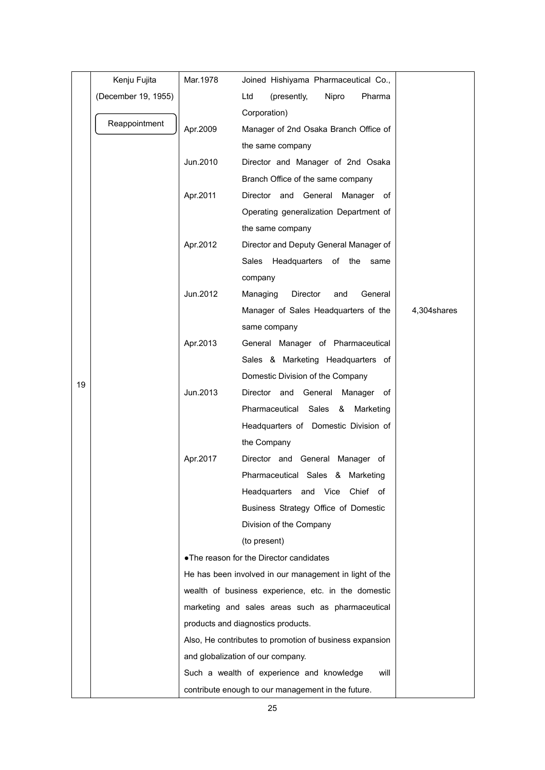|    | Kenju Fujita        | Mar.1978 | Joined Hishiyama Pharmaceutical Co.,                    |             |
|----|---------------------|----------|---------------------------------------------------------|-------------|
|    | (December 19, 1955) |          | Ltd<br>(presently,<br>Nipro<br>Pharma                   |             |
|    |                     |          | Corporation)                                            |             |
|    | Reappointment       | Apr.2009 | Manager of 2nd Osaka Branch Office of                   |             |
|    |                     |          | the same company                                        |             |
|    |                     | Jun.2010 | Director and Manager of 2nd Osaka                       |             |
|    |                     |          | Branch Office of the same company                       |             |
|    |                     | Apr.2011 | Director and General Manager of                         |             |
|    |                     |          | Operating generalization Department of                  |             |
|    |                     |          | the same company                                        |             |
|    |                     | Apr.2012 | Director and Deputy General Manager of                  |             |
|    |                     |          | Sales<br>Headquarters of the<br>same                    |             |
|    |                     |          | company                                                 |             |
|    |                     | Jun.2012 | Managing<br>Director<br>General<br>and                  |             |
|    |                     |          | Manager of Sales Headquarters of the                    | 4,304shares |
|    |                     |          | same company                                            |             |
|    |                     | Apr.2013 | General Manager of Pharmaceutical                       |             |
|    |                     |          | Sales & Marketing Headquarters of                       |             |
|    |                     |          | Domestic Division of the Company                        |             |
| 19 |                     | Jun.2013 | Director and General Manager of                         |             |
|    |                     |          | Pharmaceutical<br>Sales<br>&<br>Marketing               |             |
|    |                     |          | Headquarters of Domestic Division of                    |             |
|    |                     |          | the Company                                             |             |
|    |                     | Apr.2017 | Director and General Manager of                         |             |
|    |                     |          | Pharmaceutical Sales & Marketing                        |             |
|    |                     |          | Headquarters and Vice Chief of                          |             |
|    |                     |          | Business Strategy Office of Domestic                    |             |
|    |                     |          | Division of the Company                                 |             |
|    |                     |          | (to present)                                            |             |
|    |                     |          | • The reason for the Director candidates                |             |
|    |                     |          | He has been involved in our management in light of the  |             |
|    |                     |          | wealth of business experience, etc. in the domestic     |             |
|    |                     |          | marketing and sales areas such as pharmaceutical        |             |
|    |                     |          | products and diagnostics products.                      |             |
|    |                     |          | Also, He contributes to promotion of business expansion |             |
|    |                     |          | and globalization of our company.                       |             |
|    |                     |          | Such a wealth of experience and knowledge<br>will       |             |
|    |                     |          | contribute enough to our management in the future.      |             |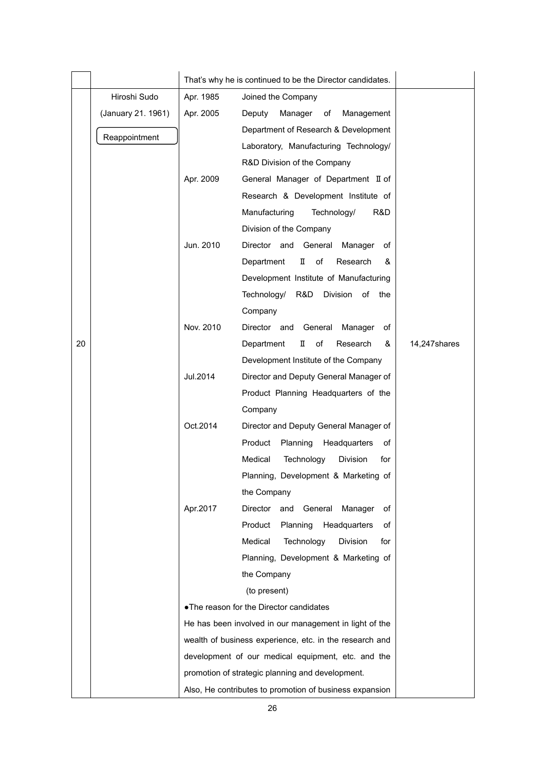|    |                    | That's why he is continued to be the Director candidates. |                                                         |              |
|----|--------------------|-----------------------------------------------------------|---------------------------------------------------------|--------------|
|    | Hiroshi Sudo       | Apr. 1985                                                 | Joined the Company                                      |              |
|    | (January 21. 1961) | Apr. 2005                                                 | Deputy<br>Manager<br>of<br>Management                   |              |
|    | Reappointment      |                                                           | Department of Research & Development                    |              |
|    |                    |                                                           | Laboratory, Manufacturing Technology/                   |              |
|    |                    |                                                           | R&D Division of the Company                             |              |
|    |                    | Apr. 2009                                                 | General Manager of Department II of                     |              |
|    |                    |                                                           | Research & Development Institute of                     |              |
|    |                    |                                                           | Manufacturing<br>Technology/<br>R&D.                    |              |
|    |                    |                                                           | Division of the Company                                 |              |
|    |                    | Jun. 2010                                                 | Director and General Manager<br>of                      |              |
|    |                    |                                                           | Department<br>П<br>of<br>Research<br>&                  |              |
|    |                    |                                                           | Development Institute of Manufacturing                  |              |
|    |                    |                                                           | Technology/<br>R&D<br>Division of the                   |              |
|    |                    |                                                           | Company                                                 |              |
|    |                    | Nov. 2010                                                 | Director and General<br>Manager<br>of                   |              |
| 20 |                    |                                                           | Department<br>п<br>of<br>Research<br>&                  | 14,247shares |
|    |                    |                                                           | Development Institute of the Company                    |              |
|    |                    | Jul.2014                                                  | Director and Deputy General Manager of                  |              |
|    |                    |                                                           | Product Planning Headquarters of the                    |              |
|    |                    |                                                           | Company                                                 |              |
|    |                    | Oct.2014                                                  | Director and Deputy General Manager of                  |              |
|    |                    |                                                           | Product<br>Planning<br>Headquarters<br>of               |              |
|    |                    |                                                           | Medical<br>Technology<br>Division<br>for                |              |
|    |                    |                                                           | Planning, Development & Marketing of                    |              |
|    |                    |                                                           | the Company                                             |              |
|    |                    | Apr.2017                                                  | Director<br>General<br>and<br>Manager<br>οf             |              |
|    |                    |                                                           | Product<br>Planning<br>Headquarters<br>οf               |              |
|    |                    |                                                           | Medical<br>Technology<br><b>Division</b><br>for         |              |
|    |                    |                                                           | Planning, Development & Marketing of                    |              |
|    |                    |                                                           | the Company                                             |              |
|    |                    |                                                           | (to present)                                            |              |
|    |                    |                                                           | . The reason for the Director candidates                |              |
|    |                    |                                                           | He has been involved in our management in light of the  |              |
|    |                    | wealth of business experience, etc. in the research and   |                                                         |              |
|    |                    |                                                           | development of our medical equipment, etc. and the      |              |
|    |                    |                                                           | promotion of strategic planning and development.        |              |
|    |                    |                                                           | Also, He contributes to promotion of business expansion |              |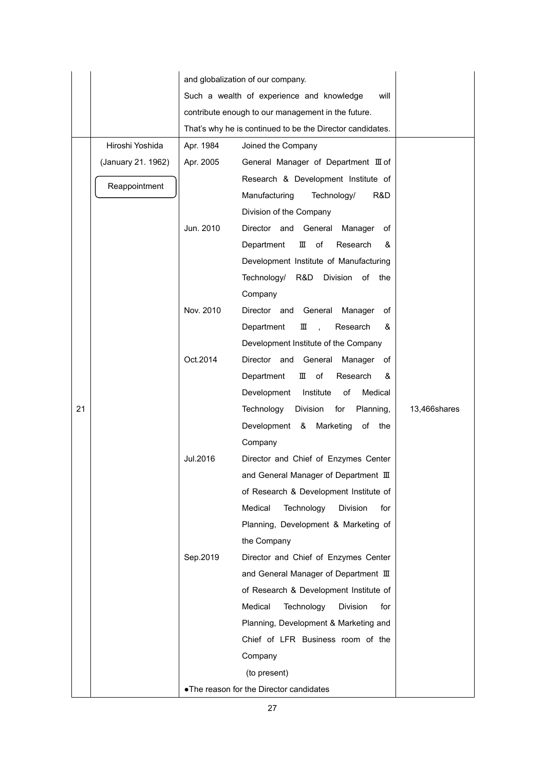|    |                    | and globalization of our company.                  |                                                           |              |  |  |  |
|----|--------------------|----------------------------------------------------|-----------------------------------------------------------|--------------|--|--|--|
|    |                    | Such a wealth of experience and knowledge          |                                                           |              |  |  |  |
|    |                    | contribute enough to our management in the future. |                                                           |              |  |  |  |
|    |                    |                                                    | That's why he is continued to be the Director candidates. |              |  |  |  |
|    | Hiroshi Yoshida    | Apr. 1984                                          | Joined the Company                                        |              |  |  |  |
|    | (January 21. 1962) | Apr. 2005                                          | General Manager of Department III of                      |              |  |  |  |
|    | Reappointment      |                                                    | Research & Development Institute of                       |              |  |  |  |
|    |                    |                                                    | Manufacturing<br>Technology/<br>R&D                       |              |  |  |  |
|    |                    |                                                    | Division of the Company                                   |              |  |  |  |
|    |                    | Jun. 2010                                          | Director and General Manager<br>of                        |              |  |  |  |
|    |                    |                                                    | Department<br>Ш<br>of<br>Research<br>&                    |              |  |  |  |
|    |                    |                                                    | Development Institute of Manufacturing                    |              |  |  |  |
|    |                    |                                                    | Technology/ R&D<br>Division of the                        |              |  |  |  |
|    |                    |                                                    | Company                                                   |              |  |  |  |
|    |                    | Nov. 2010                                          | Director and General Manager<br>of                        |              |  |  |  |
|    |                    |                                                    | &<br>Department<br>Ш<br>Research<br>$\sim$                |              |  |  |  |
|    |                    |                                                    | Development Institute of the Company                      |              |  |  |  |
|    |                    | Oct.2014                                           | Director and<br>General Manager of                        |              |  |  |  |
|    |                    |                                                    | Department<br>ш<br>of<br>Research<br>&                    |              |  |  |  |
|    |                    |                                                    | Development<br>Institute<br>of<br>Medical                 |              |  |  |  |
| 21 |                    |                                                    | Technology<br>Division for<br>Planning,                   | 13,466shares |  |  |  |
|    |                    |                                                    | Development & Marketing<br>of the                         |              |  |  |  |
|    |                    |                                                    | Company                                                   |              |  |  |  |
|    |                    | Jul.2016                                           | Director and Chief of Enzymes Center                      |              |  |  |  |
|    |                    |                                                    | and General Manager of Department III                     |              |  |  |  |
|    |                    |                                                    | of Research & Development Institute of                    |              |  |  |  |
|    |                    |                                                    | Medical<br>Technology<br><b>Division</b><br>for           |              |  |  |  |
|    |                    |                                                    | Planning, Development & Marketing of                      |              |  |  |  |
|    |                    |                                                    | the Company                                               |              |  |  |  |
|    |                    | Sep.2019                                           | Director and Chief of Enzymes Center                      |              |  |  |  |
|    |                    |                                                    | and General Manager of Department III                     |              |  |  |  |
|    |                    |                                                    | of Research & Development Institute of                    |              |  |  |  |
|    |                    |                                                    | Medical<br>Technology<br><b>Division</b><br>for           |              |  |  |  |
|    |                    |                                                    | Planning, Development & Marketing and                     |              |  |  |  |
|    |                    |                                                    | Chief of LFR Business room of the                         |              |  |  |  |
|    |                    |                                                    | Company                                                   |              |  |  |  |
|    |                    |                                                    | (to present)                                              |              |  |  |  |
|    |                    |                                                    | . The reason for the Director candidates                  |              |  |  |  |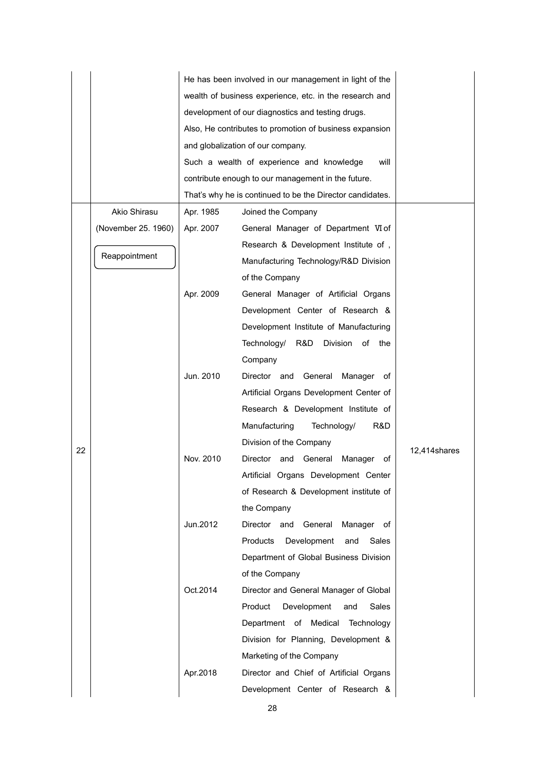|    |                     | He has been involved in our management in light of the  |                                                           |               |  |  |  |
|----|---------------------|---------------------------------------------------------|-----------------------------------------------------------|---------------|--|--|--|
|    |                     | wealth of business experience, etc. in the research and |                                                           |               |  |  |  |
|    |                     | development of our diagnostics and testing drugs.       |                                                           |               |  |  |  |
|    |                     |                                                         | Also, He contributes to promotion of business expansion   |               |  |  |  |
|    |                     |                                                         | and globalization of our company.                         |               |  |  |  |
|    |                     |                                                         | Such a wealth of experience and knowledge<br>will         |               |  |  |  |
|    |                     |                                                         | contribute enough to our management in the future.        |               |  |  |  |
|    |                     |                                                         | That's why he is continued to be the Director candidates. |               |  |  |  |
|    | Akio Shirasu        | Apr. 1985                                               | Joined the Company                                        |               |  |  |  |
|    | (November 25. 1960) | Apr. 2007                                               | General Manager of Department VI of                       |               |  |  |  |
|    |                     |                                                         | Research & Development Institute of,                      |               |  |  |  |
|    | Reappointment       |                                                         | Manufacturing Technology/R&D Division                     |               |  |  |  |
|    |                     |                                                         | of the Company                                            |               |  |  |  |
|    |                     | Apr. 2009                                               | General Manager of Artificial Organs                      |               |  |  |  |
|    |                     |                                                         | Development Center of Research &                          |               |  |  |  |
|    |                     |                                                         | Development Institute of Manufacturing                    |               |  |  |  |
|    |                     |                                                         | Technology/ R&D<br>Division<br>of<br>the                  |               |  |  |  |
|    |                     |                                                         | Company                                                   |               |  |  |  |
|    |                     | Jun. 2010                                               | Director and<br>General<br>Manager<br>of                  |               |  |  |  |
|    |                     |                                                         | Artificial Organs Development Center of                   |               |  |  |  |
|    |                     |                                                         | Research & Development Institute of                       |               |  |  |  |
|    |                     |                                                         | Manufacturing<br>Technology/<br>R&D                       |               |  |  |  |
|    |                     |                                                         | Division of the Company                                   |               |  |  |  |
| 22 |                     | Nov. 2010                                               | Director and<br>General<br>Manager<br>of                  | 12,414 shares |  |  |  |
|    |                     |                                                         | Artificial Organs Development Center                      |               |  |  |  |
|    |                     |                                                         | of Research & Development institute of                    |               |  |  |  |
|    |                     |                                                         | the Company                                               |               |  |  |  |
|    |                     | Jun.2012                                                | Director and<br>General<br>Manager of                     |               |  |  |  |
|    |                     |                                                         | Products<br>Development<br>and<br>Sales                   |               |  |  |  |
|    |                     |                                                         | Department of Global Business Division                    |               |  |  |  |
|    |                     |                                                         | of the Company                                            |               |  |  |  |
|    |                     | Oct.2014                                                | Director and General Manager of Global                    |               |  |  |  |
|    |                     |                                                         | Product<br>Development<br>Sales<br>and                    |               |  |  |  |
|    |                     |                                                         | Department of Medical Technology                          |               |  |  |  |
|    |                     |                                                         | Division for Planning, Development &                      |               |  |  |  |
|    |                     |                                                         | Marketing of the Company                                  |               |  |  |  |
|    |                     | Apr.2018                                                | Director and Chief of Artificial Organs                   |               |  |  |  |
|    |                     |                                                         | Development Center of Research &                          |               |  |  |  |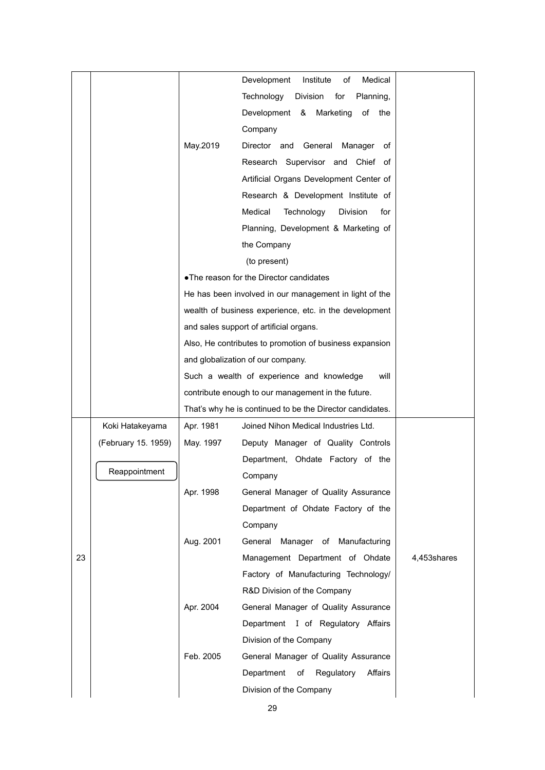|    |                     |           | Medical<br>Development<br>Institute<br>of                 |             |
|----|---------------------|-----------|-----------------------------------------------------------|-------------|
|    |                     |           | Technology<br>Division<br>for<br>Planning,                |             |
|    |                     |           | Development &<br>Marketing<br>of the                      |             |
|    |                     |           | Company                                                   |             |
|    |                     | May.2019  | Director and General<br>Manager<br>οf                     |             |
|    |                     |           | Research Supervisor and Chief of                          |             |
|    |                     |           | Artificial Organs Development Center of                   |             |
|    |                     |           | Research & Development Institute of                       |             |
|    |                     |           | Medical<br>Technology<br><b>Division</b><br>for           |             |
|    |                     |           | Planning, Development & Marketing of                      |             |
|    |                     |           | the Company                                               |             |
|    |                     |           | (to present)                                              |             |
|    |                     |           | . The reason for the Director candidates                  |             |
|    |                     |           | He has been involved in our management in light of the    |             |
|    |                     |           | wealth of business experience, etc. in the development    |             |
|    |                     |           | and sales support of artificial organs.                   |             |
|    |                     |           | Also, He contributes to promotion of business expansion   |             |
|    |                     |           | and globalization of our company.                         |             |
|    |                     |           | Such a wealth of experience and knowledge<br>will         |             |
|    |                     |           | contribute enough to our management in the future.        |             |
|    |                     |           | That's why he is continued to be the Director candidates. |             |
|    | Koki Hatakeyama     | Apr. 1981 | Joined Nihon Medical Industries Ltd.                      |             |
|    | (February 15. 1959) | May. 1997 | Deputy Manager of Quality Controls                        |             |
|    |                     |           | Department, Ohdate Factory of the                         |             |
|    | Reappointment       |           | Company                                                   |             |
|    |                     | Apr. 1998 | General Manager of Quality Assurance                      |             |
|    |                     |           | Department of Ohdate Factory of the                       |             |
|    |                     |           | Company                                                   |             |
|    |                     | Aug. 2001 | General Manager of Manufacturing                          |             |
| 23 |                     |           | Management Department of Ohdate                           | 4,453shares |
|    |                     |           | Factory of Manufacturing Technology/                      |             |
|    |                     |           | R&D Division of the Company                               |             |
|    |                     | Apr. 2004 | General Manager of Quality Assurance                      |             |
|    |                     |           | Department I of Regulatory Affairs                        |             |
|    |                     |           | Division of the Company                                   |             |
|    |                     |           |                                                           |             |
|    |                     | Feb. 2005 | General Manager of Quality Assurance                      |             |
|    |                     |           | Department<br>Regulatory<br>Affairs<br>of                 |             |
|    |                     |           |                                                           |             |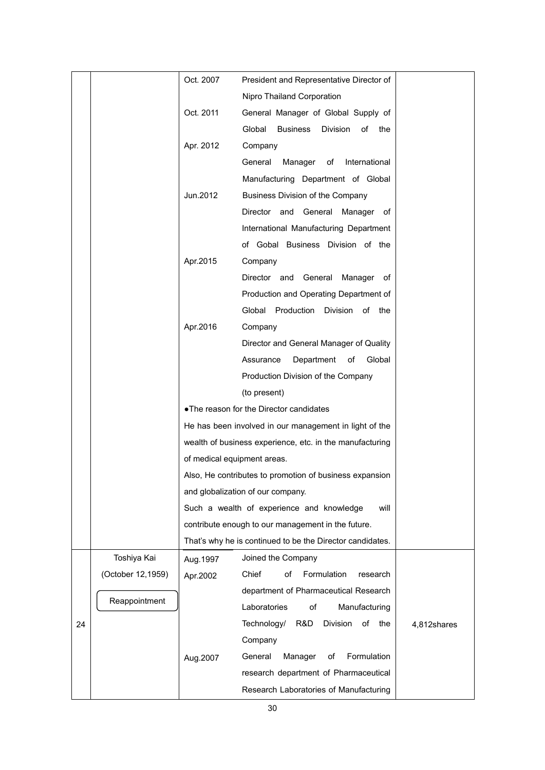|    |                   | Oct. 2007                   | President and Representative Director of                  |             |
|----|-------------------|-----------------------------|-----------------------------------------------------------|-------------|
|    |                   |                             | Nipro Thailand Corporation                                |             |
|    |                   | Oct. 2011                   | General Manager of Global Supply of                       |             |
|    |                   |                             | Global<br>Business<br>Division<br>of<br>the               |             |
|    |                   | Apr. 2012                   | Company                                                   |             |
|    |                   |                             | General<br>Manager<br>of<br>International                 |             |
|    |                   |                             | Manufacturing Department of Global                        |             |
|    |                   | Jun.2012                    | <b>Business Division of the Company</b>                   |             |
|    |                   |                             | Director and General Manager of                           |             |
|    |                   |                             | International Manufacturing Department                    |             |
|    |                   |                             | of Gobal Business Division of the                         |             |
|    |                   | Apr.2015                    | Company                                                   |             |
|    |                   |                             | Director and General Manager of                           |             |
|    |                   |                             | Production and Operating Department of                    |             |
|    |                   |                             | Global Production Division of the                         |             |
|    |                   | Apr.2016                    | Company                                                   |             |
|    |                   |                             | Director and General Manager of Quality                   |             |
|    |                   |                             | Assurance<br>Department of<br>Global                      |             |
|    |                   |                             | Production Division of the Company                        |             |
|    |                   |                             | (to present)                                              |             |
|    |                   |                             | • The reason for the Director candidates                  |             |
|    |                   |                             | He has been involved in our management in light of the    |             |
|    |                   |                             | wealth of business experience, etc. in the manufacturing  |             |
|    |                   | of medical equipment areas. |                                                           |             |
|    |                   |                             | Also, He contributes to promotion of business expansion   |             |
|    |                   |                             | and globalization of our company.                         |             |
|    |                   |                             | Such a wealth of experience and knowledge<br>will         |             |
|    |                   |                             | contribute enough to our management in the future.        |             |
|    |                   |                             | That's why he is continued to be the Director candidates. |             |
|    | Toshiya Kai       | Aug. 1997                   | Joined the Company                                        |             |
|    | (October 12,1959) | Apr.2002                    | Formulation<br>Chief<br>of<br>research                    |             |
|    |                   |                             | department of Pharmaceutical Research                     |             |
|    | Reappointment     |                             | Laboratories<br>of<br>Manufacturing                       |             |
| 24 |                   |                             | Technology/<br>R&D<br>Division<br>of<br>the               | 4,812shares |
|    |                   |                             | Company                                                   |             |
|    |                   | Aug.2007                    | Formulation<br>General<br>Manager<br>of                   |             |
|    |                   |                             | research department of Pharmaceutical                     |             |
|    |                   |                             | Research Laboratories of Manufacturing                    |             |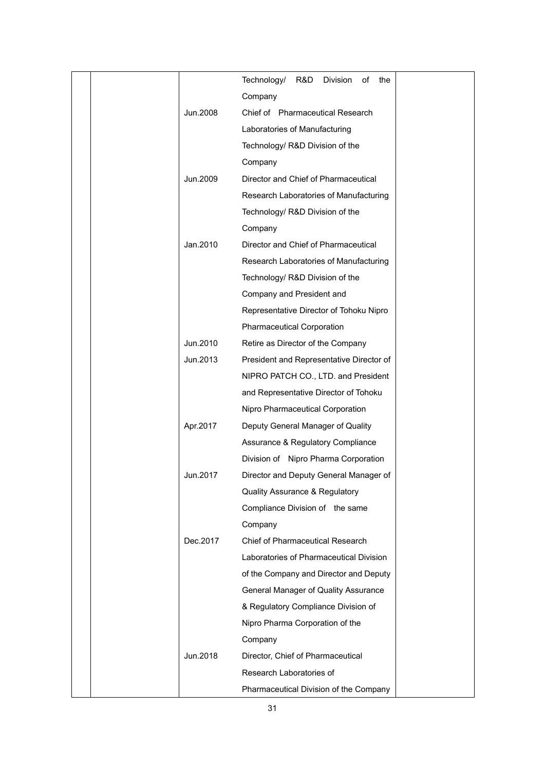|          | Technology/ R&D<br>of the<br>Division     |
|----------|-------------------------------------------|
|          | Company                                   |
| Jun.2008 | Chief of Pharmaceutical Research          |
|          | Laboratories of Manufacturing             |
|          | Technology/ R&D Division of the           |
|          | Company                                   |
| Jun.2009 | Director and Chief of Pharmaceutical      |
|          | Research Laboratories of Manufacturing    |
|          | Technology/ R&D Division of the           |
|          | Company                                   |
| Jan.2010 | Director and Chief of Pharmaceutical      |
|          | Research Laboratories of Manufacturing    |
|          | Technology/ R&D Division of the           |
|          | Company and President and                 |
|          | Representative Director of Tohoku Nipro   |
|          | <b>Pharmaceutical Corporation</b>         |
| Jun.2010 | Retire as Director of the Company         |
| Jun.2013 | President and Representative Director of  |
|          | NIPRO PATCH CO., LTD. and President       |
|          | and Representative Director of Tohoku     |
|          | Nipro Pharmaceutical Corporation          |
| Apr.2017 | Deputy General Manager of Quality         |
|          | Assurance & Regulatory Compliance         |
|          | Division of Nipro Pharma Corporation      |
| Jun.2017 | Director and Deputy General Manager of    |
|          | <b>Quality Assurance &amp; Regulatory</b> |
|          | Compliance Division of the same           |
|          | Company                                   |
| Dec.2017 | Chief of Pharmaceutical Research          |
|          | Laboratories of Pharmaceutical Division   |
|          | of the Company and Director and Deputy    |
|          | General Manager of Quality Assurance      |
|          | & Regulatory Compliance Division of       |
|          | Nipro Pharma Corporation of the           |
|          | Company                                   |
| Jun.2018 | Director, Chief of Pharmaceutical         |
|          | Research Laboratories of                  |
|          | Pharmaceutical Division of the Company    |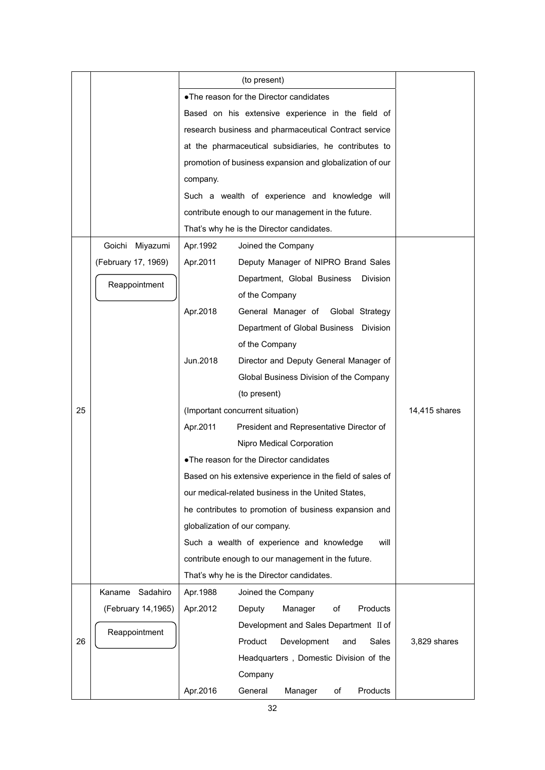|    |                     |                                         | (to present)                                               |               |  |  |  |  |  |
|----|---------------------|-----------------------------------------|------------------------------------------------------------|---------------|--|--|--|--|--|
|    |                     | .The reason for the Director candidates |                                                            |               |  |  |  |  |  |
|    |                     |                                         | Based on his extensive experience in the field of          |               |  |  |  |  |  |
|    |                     |                                         | research business and pharmaceutical Contract service      |               |  |  |  |  |  |
|    |                     |                                         | at the pharmaceutical subsidiaries, he contributes to      |               |  |  |  |  |  |
|    |                     |                                         | promotion of business expansion and globalization of our   |               |  |  |  |  |  |
|    |                     | company.                                |                                                            |               |  |  |  |  |  |
|    |                     |                                         | Such a wealth of experience and knowledge will             |               |  |  |  |  |  |
|    |                     |                                         | contribute enough to our management in the future.         |               |  |  |  |  |  |
|    |                     |                                         | That's why he is the Director candidates.                  |               |  |  |  |  |  |
|    | Goichi<br>Miyazumi  | Apr. 1992                               | Joined the Company                                         |               |  |  |  |  |  |
|    | (February 17, 1969) | Apr.2011                                | Deputy Manager of NIPRO Brand Sales                        |               |  |  |  |  |  |
|    | Reappointment       |                                         | Department, Global Business<br><b>Division</b>             |               |  |  |  |  |  |
|    |                     |                                         | of the Company                                             |               |  |  |  |  |  |
|    |                     | Apr.2018                                | General Manager of<br>Global Strategy                      |               |  |  |  |  |  |
|    |                     |                                         | Department of Global Business<br>Division                  |               |  |  |  |  |  |
|    |                     |                                         | of the Company                                             |               |  |  |  |  |  |
|    |                     | Jun.2018                                | Director and Deputy General Manager of                     |               |  |  |  |  |  |
|    |                     |                                         | Global Business Division of the Company                    |               |  |  |  |  |  |
|    |                     |                                         | (to present)                                               |               |  |  |  |  |  |
| 25 |                     |                                         | (Important concurrent situation)                           | 14,415 shares |  |  |  |  |  |
|    |                     | Apr.2011                                | President and Representative Director of                   |               |  |  |  |  |  |
|    |                     |                                         | Nipro Medical Corporation                                  |               |  |  |  |  |  |
|    |                     |                                         | . The reason for the Director candidates                   |               |  |  |  |  |  |
|    |                     |                                         | Based on his extensive experience in the field of sales of |               |  |  |  |  |  |
|    |                     |                                         | our medical-related business in the United States,         |               |  |  |  |  |  |
|    |                     |                                         | he contributes to promotion of business expansion and      |               |  |  |  |  |  |
|    |                     |                                         | globalization of our company.                              |               |  |  |  |  |  |
|    |                     |                                         | Such a wealth of experience and knowledge<br>will          |               |  |  |  |  |  |
|    |                     |                                         | contribute enough to our management in the future.         |               |  |  |  |  |  |
|    |                     |                                         | That's why he is the Director candidates.                  |               |  |  |  |  |  |
|    | Kaname<br>Sadahiro  | Apr. 1988                               | Joined the Company                                         |               |  |  |  |  |  |
|    | (February 14,1965)  | Apr.2012                                | Products<br>Deputy<br>Manager<br>of                        |               |  |  |  |  |  |
|    | Reappointment       |                                         | Development and Sales Department II of                     |               |  |  |  |  |  |
| 26 |                     |                                         | Product<br>Development<br>Sales<br>and                     | 3,829 shares  |  |  |  |  |  |
|    |                     |                                         | Headquarters, Domestic Division of the                     |               |  |  |  |  |  |
|    |                     |                                         | Company                                                    |               |  |  |  |  |  |
|    |                     | Apr.2016                                | Products<br>General<br>Manager<br>of                       |               |  |  |  |  |  |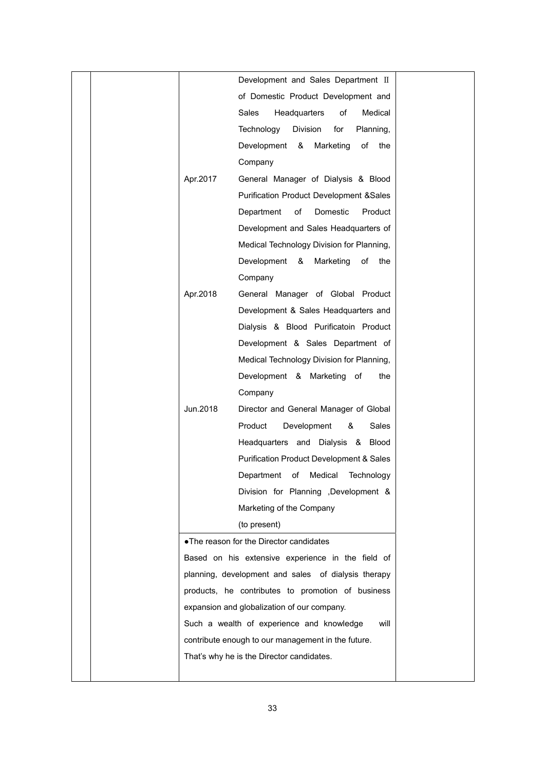|  |          | Development and Sales Department II                               |  |
|--|----------|-------------------------------------------------------------------|--|
|  |          | of Domestic Product Development and                               |  |
|  |          | Sales<br>Headquarters<br>of<br>Medical                            |  |
|  |          | Technology<br>Division<br>for<br>Planning,                        |  |
|  |          | Development &<br>Marketing<br>of<br>the                           |  |
|  |          | Company                                                           |  |
|  | Apr.2017 | General Manager of Dialysis & Blood                               |  |
|  |          | <b>Purification Product Development &amp;Sales</b>                |  |
|  |          | Department<br>of<br>Domestic<br>Product                           |  |
|  |          | Development and Sales Headquarters of                             |  |
|  |          | Medical Technology Division for Planning,                         |  |
|  |          | Development &<br>Marketing<br>of<br>the                           |  |
|  |          | Company                                                           |  |
|  | Apr.2018 | General Manager of Global Product                                 |  |
|  |          | Development & Sales Headquarters and                              |  |
|  |          | Dialysis & Blood Purificatoin Product                             |  |
|  |          | Development & Sales Department of                                 |  |
|  |          | Medical Technology Division for Planning,                         |  |
|  |          | Development & Marketing of<br>the                                 |  |
|  |          | Company                                                           |  |
|  | Jun.2018 | Director and General Manager of Global                            |  |
|  |          | Product<br>Development<br>Sales<br>&                              |  |
|  |          | Headquarters and Dialysis & Blood                                 |  |
|  |          | <b>Purification Product Development &amp; Sales</b>               |  |
|  |          |                                                                   |  |
|  |          | Department of Medical<br>Technology                               |  |
|  |          | Division for Planning , Development &<br>Marketing of the Company |  |
|  |          |                                                                   |  |
|  |          | (to present)                                                      |  |
|  |          | . The reason for the Director candidates                          |  |
|  |          | Based on his extensive experience in the field of                 |  |
|  |          | planning, development and sales of dialysis therapy               |  |
|  |          | products, he contributes to promotion of business                 |  |
|  |          | expansion and globalization of our company.                       |  |
|  |          | Such a wealth of experience and knowledge<br>will                 |  |
|  |          | contribute enough to our management in the future.                |  |
|  |          | That's why he is the Director candidates.                         |  |
|  |          |                                                                   |  |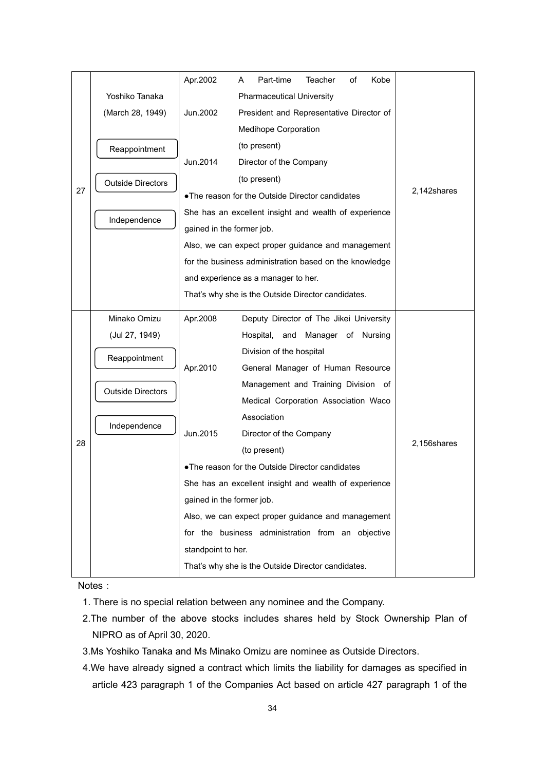|    |                          | Apr.2002                                               | A | Part-time                               | Teacher | of | Kobe |             |
|----|--------------------------|--------------------------------------------------------|---|-----------------------------------------|---------|----|------|-------------|
|    | Yoshiko Tanaka           |                                                        |   | <b>Pharmaceutical University</b>        |         |    |      |             |
|    | (March 28, 1949)         | Jun.2002                                               |   |                                         |         |    |      |             |
|    |                          | <b>Medihope Corporation</b>                            |   |                                         |         |    |      |             |
|    | Reappointment            |                                                        |   | (to present)                            |         |    |      |             |
|    |                          | Jun.2014                                               |   | Director of the Company                 |         |    |      |             |
|    | <b>Outside Directors</b> |                                                        |   | (to present)                            |         |    |      |             |
| 27 |                          | . The reason for the Outside Director candidates       |   |                                         |         |    |      | 2,142shares |
|    | Independence             | She has an excellent insight and wealth of experience  |   |                                         |         |    |      |             |
|    |                          | gained in the former job.                              |   |                                         |         |    |      |             |
|    |                          | Also, we can expect proper guidance and management     |   |                                         |         |    |      |             |
|    |                          | for the business administration based on the knowledge |   |                                         |         |    |      |             |
|    |                          | and experience as a manager to her.                    |   |                                         |         |    |      |             |
|    |                          | That's why she is the Outside Director candidates.     |   |                                         |         |    |      |             |
|    | Minako Omizu             | Apr.2008                                               |   | Deputy Director of The Jikei University |         |    |      |             |
|    | (Jul 27, 1949)           |                                                        |   | Hospital, and Manager of Nursing        |         |    |      |             |
|    | Reappointment            |                                                        |   | Division of the hospital                |         |    |      |             |
|    |                          | Apr.2010                                               |   | General Manager of Human Resource       |         |    |      |             |
|    | <b>Outside Directors</b> |                                                        |   | Management and Training Division of     |         |    |      |             |
|    |                          |                                                        |   | Medical Corporation Association Waco    |         |    |      |             |
|    | Independence             |                                                        |   | Association                             |         |    |      |             |
|    |                          | Jun.2015                                               |   | Director of the Company                 |         |    |      |             |
| 28 |                          |                                                        |   | (to present)                            |         |    |      | 2,156shares |
|    |                          | . The reason for the Outside Director candidates       |   |                                         |         |    |      |             |
|    |                          | She has an excellent insight and wealth of experience  |   |                                         |         |    |      |             |
|    |                          | gained in the former job.                              |   |                                         |         |    |      |             |
|    |                          | Also, we can expect proper guidance and management     |   |                                         |         |    |      |             |
|    |                          | for the business administration from an objective      |   |                                         |         |    |      |             |
|    |                          | standpoint to her.                                     |   |                                         |         |    |      |             |
|    |                          | That's why she is the Outside Director candidates.     |   |                                         |         |    |      |             |

Notes:

1. There is no special relation between any nominee and the Company.

- 2.The number of the above stocks includes shares held by Stock Ownership Plan of NIPRO as of April 30, 2020.
- 3.Ms Yoshiko Tanaka and Ms Minako Omizu are nominee as Outside Directors.
- 4.We have already signed a contract which limits the liability for damages as specified in article 423 paragraph 1 of the Companies Act based on article 427 paragraph 1 of the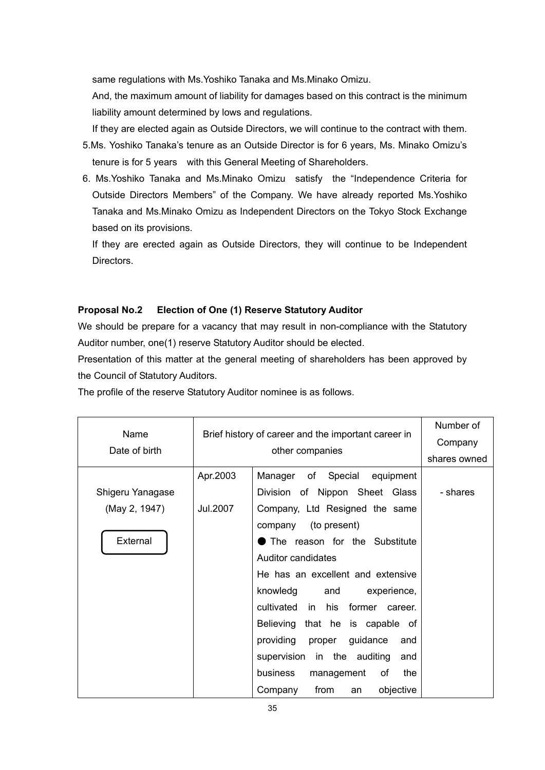same regulations with Ms.Yoshiko Tanaka and Ms.Minako Omizu.

And, the maximum amount of liability for damages based on this contract is the minimum liability amount determined by lows and regulations.

If they are elected again as Outside Directors, we will continue to the contract with them. 5.Ms. Yoshiko Tanaka's tenure as an Outside Director is for 6 years, Ms. Minako Omizu's tenure is for 5 years with this General Meeting of Shareholders.

6. Ms.Yoshiko Tanaka and Ms.Minako Omizu satisfy the "Independence Criteria for Outside Directors Members" of the Company. We have already reported Ms.Yoshiko Tanaka and Ms.Minako Omizu as Independent Directors on the Tokyo Stock Exchange based on its provisions.

If they are erected again as Outside Directors, they will continue to be Independent Directors.

### **Proposal No.2 Election of One (1) Reserve Statutory Auditor**

We should be prepare for a vacancy that may result in non-compliance with the Statutory Auditor number, one(1) reserve Statutory Auditor should be elected.

Presentation of this matter at the general meeting of shareholders has been approved by the Council of Statutory Auditors.

The profile of the reserve Statutory Auditor nominee is as follows.

| Name             |                           | Brief history of career and the important career in |              |  |  |
|------------------|---------------------------|-----------------------------------------------------|--------------|--|--|
| Date of birth    |                           | other companies                                     | shares owned |  |  |
|                  | Apr.2003                  | Manager of Special equipment                        |              |  |  |
| Shigeru Yanagase |                           | Division of Nippon Sheet Glass                      | - shares     |  |  |
| (May 2, 1947)    | Jul.2007                  | Company, Ltd Resigned the same                      |              |  |  |
|                  |                           | company (to present)                                |              |  |  |
| External         |                           | The reason for the Substitute                       |              |  |  |
|                  | <b>Auditor candidates</b> |                                                     |              |  |  |
|                  |                           | He has an excellent and extensive                   |              |  |  |
|                  |                           | knowledg<br>and<br>experience,                      |              |  |  |
|                  |                           | cultivated in<br>his former<br>career.              |              |  |  |
|                  |                           | Believing that he is capable of                     |              |  |  |
|                  |                           | providing<br>guidance<br>proper<br>and              |              |  |  |
|                  |                           | supervision in the auditing<br>and                  |              |  |  |
|                  |                           | business<br>management<br>of<br>the                 |              |  |  |
|                  |                           | from<br>objective<br>Company<br>an                  |              |  |  |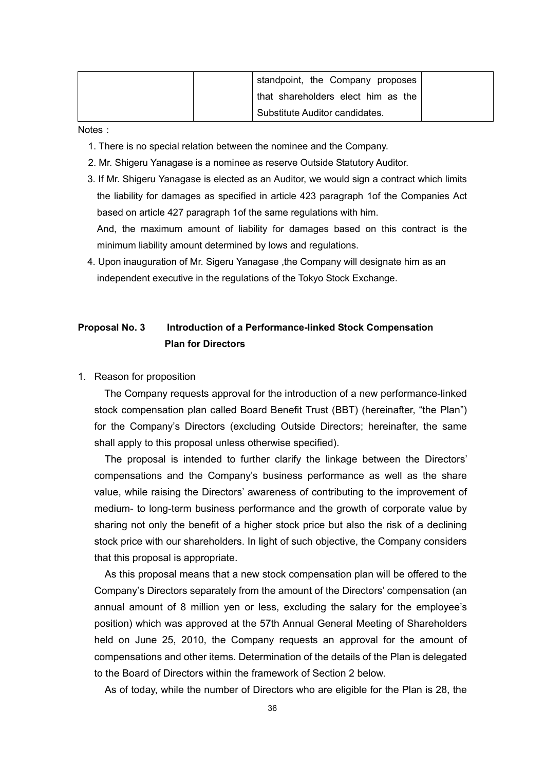| standpoint, the Company proposes   |  |
|------------------------------------|--|
| that shareholders elect him as the |  |
| Substitute Auditor candidates.     |  |

Notes:

- 1. There is no special relation between the nominee and the Company.
- 2. Mr. Shigeru Yanagase is a nominee as reserve Outside Statutory Auditor.
- 3. If Mr. Shigeru Yanagase is elected as an Auditor, we would sign a contract which limits the liability for damages as specified in article 423 paragraph 1of the Companies Act based on article 427 paragraph 1of the same regulations with him.

And, the maximum amount of liability for damages based on this contract is the minimum liability amount determined by lows and regulations.

4. Upon inauguration of Mr. Sigeru Yanagase ,the Company will designate him as an independent executive in the regulations of the Tokyo Stock Exchange.

## **Proposal No. 3 Introduction of a Performance-linked Stock Compensation Plan for Directors**

1. Reason for proposition

 The Company requests approval for the introduction of a new performance-linked stock compensation plan called Board Benefit Trust (BBT) (hereinafter, "the Plan") for the Company's Directors (excluding Outside Directors; hereinafter, the same shall apply to this proposal unless otherwise specified).

The proposal is intended to further clarify the linkage between the Directors' compensations and the Company's business performance as well as the share value, while raising the Directors' awareness of contributing to the improvement of medium- to long-term business performance and the growth of corporate value by sharing not only the benefit of a higher stock price but also the risk of a declining stock price with our shareholders. In light of such objective, the Company considers that this proposal is appropriate.

As this proposal means that a new stock compensation plan will be offered to the Company's Directors separately from the amount of the Directors' compensation (an annual amount of 8 million yen or less, excluding the salary for the employee's position) which was approved at the 57th Annual General Meeting of Shareholders held on June 25, 2010, the Company requests an approval for the amount of compensations and other items. Determination of the details of the Plan is delegated to the Board of Directors within the framework of Section 2 below.

As of today, while the number of Directors who are eligible for the Plan is 28, the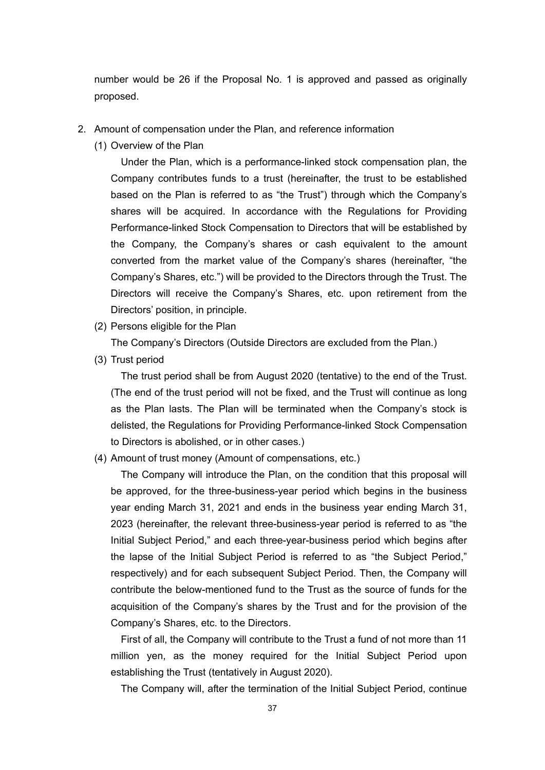number would be 26 if the Proposal No. 1 is approved and passed as originally proposed.

- 2. Amount of compensation under the Plan, and reference information
	- (1) Overview of the Plan

 Under the Plan, which is a performance-linked stock compensation plan, the Company contributes funds to a trust (hereinafter, the trust to be established based on the Plan is referred to as "the Trust") through which the Company's shares will be acquired. In accordance with the Regulations for Providing Performance-linked Stock Compensation to Directors that will be established by the Company, the Company's shares or cash equivalent to the amount converted from the market value of the Company's shares (hereinafter, "the Company's Shares, etc.") will be provided to the Directors through the Trust. The Directors will receive the Company's Shares, etc. upon retirement from the Directors' position, in principle.

(2) Persons eligible for the Plan

The Company's Directors (Outside Directors are excluded from the Plan.)

(3) Trust period

 The trust period shall be from August 2020 (tentative) to the end of the Trust. (The end of the trust period will not be fixed, and the Trust will continue as long as the Plan lasts. The Plan will be terminated when the Company's stock is delisted, the Regulations for Providing Performance-linked Stock Compensation to Directors is abolished, or in other cases.)

(4) Amount of trust money (Amount of compensations, etc.)

 The Company will introduce the Plan, on the condition that this proposal will be approved, for the three-business-year period which begins in the business year ending March 31, 2021 and ends in the business year ending March 31, 2023 (hereinafter, the relevant three-business-year period is referred to as "the Initial Subject Period," and each three-year-business period which begins after the lapse of the Initial Subject Period is referred to as "the Subject Period," respectively) and for each subsequent Subject Period. Then, the Company will contribute the below-mentioned fund to the Trust as the source of funds for the acquisition of the Company's shares by the Trust and for the provision of the Company's Shares, etc. to the Directors.

 First of all, the Company will contribute to the Trust a fund of not more than 11 million yen, as the money required for the Initial Subject Period upon establishing the Trust (tentatively in August 2020).

The Company will, after the termination of the Initial Subject Period, continue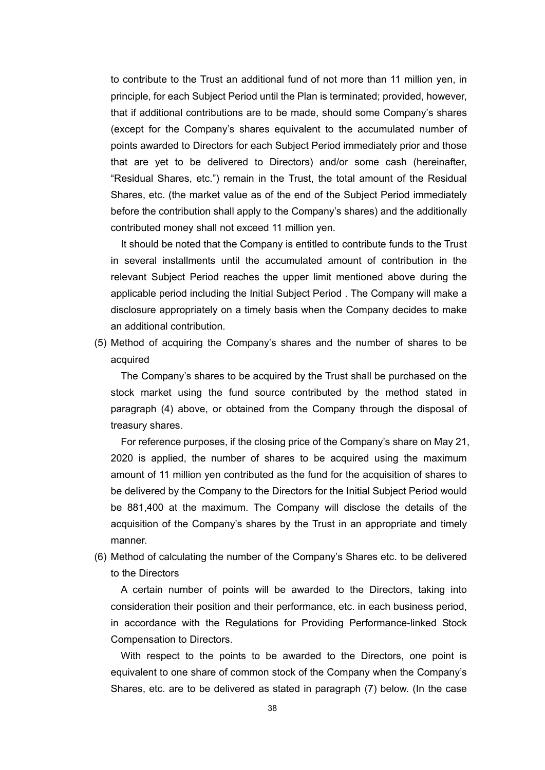to contribute to the Trust an additional fund of not more than 11 million yen, in principle, for each Subject Period until the Plan is terminated; provided, however, that if additional contributions are to be made, should some Company's shares (except for the Company's shares equivalent to the accumulated number of points awarded to Directors for each Subject Period immediately prior and those that are yet to be delivered to Directors) and/or some cash (hereinafter, "Residual Shares, etc.") remain in the Trust, the total amount of the Residual Shares, etc. (the market value as of the end of the Subject Period immediately before the contribution shall apply to the Company's shares) and the additionally contributed money shall not exceed 11 million yen.

 It should be noted that the Company is entitled to contribute funds to the Trust in several installments until the accumulated amount of contribution in the relevant Subject Period reaches the upper limit mentioned above during the applicable period including the Initial Subject Period . The Company will make a disclosure appropriately on a timely basis when the Company decides to make an additional contribution.

(5) Method of acquiring the Company's shares and the number of shares to be acquired

 The Company's shares to be acquired by the Trust shall be purchased on the stock market using the fund source contributed by the method stated in paragraph (4) above, or obtained from the Company through the disposal of treasury shares.

 For reference purposes, if the closing price of the Company's share on May 21, 2020 is applied, the number of shares to be acquired using the maximum amount of 11 million yen contributed as the fund for the acquisition of shares to be delivered by the Company to the Directors for the Initial Subject Period would be 881,400 at the maximum. The Company will disclose the details of the acquisition of the Company's shares by the Trust in an appropriate and timely manner.

(6) Method of calculating the number of the Company's Shares etc. to be delivered to the Directors

 A certain number of points will be awarded to the Directors, taking into consideration their position and their performance, etc. in each business period, in accordance with the Regulations for Providing Performance-linked Stock Compensation to Directors.

 With respect to the points to be awarded to the Directors, one point is equivalent to one share of common stock of the Company when the Company's Shares, etc. are to be delivered as stated in paragraph (7) below. (In the case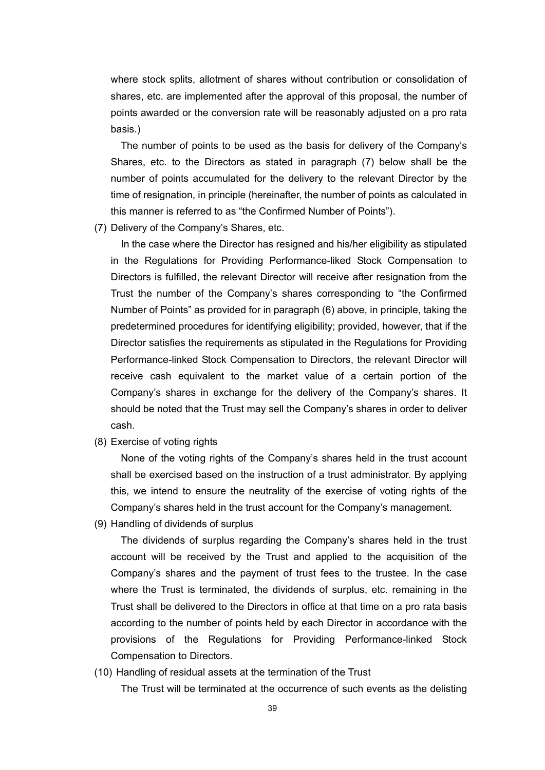where stock splits, allotment of shares without contribution or consolidation of shares, etc. are implemented after the approval of this proposal, the number of points awarded or the conversion rate will be reasonably adjusted on a pro rata basis.)

The number of points to be used as the basis for delivery of the Company's Shares, etc. to the Directors as stated in paragraph (7) below shall be the number of points accumulated for the delivery to the relevant Director by the time of resignation, in principle (hereinafter, the number of points as calculated in this manner is referred to as "the Confirmed Number of Points").

(7) Delivery of the Company's Shares, etc.

 In the case where the Director has resigned and his/her eligibility as stipulated in the Regulations for Providing Performance-liked Stock Compensation to Directors is fulfilled, the relevant Director will receive after resignation from the Trust the number of the Company's shares corresponding to "the Confirmed Number of Points" as provided for in paragraph (6) above, in principle, taking the predetermined procedures for identifying eligibility; provided, however, that if the Director satisfies the requirements as stipulated in the Regulations for Providing Performance-linked Stock Compensation to Directors, the relevant Director will receive cash equivalent to the market value of a certain portion of the Company's shares in exchange for the delivery of the Company's shares. It should be noted that the Trust may sell the Company's shares in order to deliver cash.

(8) Exercise of voting rights

 None of the voting rights of the Company's shares held in the trust account shall be exercised based on the instruction of a trust administrator. By applying this, we intend to ensure the neutrality of the exercise of voting rights of the Company's shares held in the trust account for the Company's management.

(9) Handling of dividends of surplus

 The dividends of surplus regarding the Company's shares held in the trust account will be received by the Trust and applied to the acquisition of the Company's shares and the payment of trust fees to the trustee. In the case where the Trust is terminated, the dividends of surplus, etc. remaining in the Trust shall be delivered to the Directors in office at that time on a pro rata basis according to the number of points held by each Director in accordance with the provisions of the Regulations for Providing Performance-linked Stock Compensation to Directors.

(10) Handling of residual assets at the termination of the Trust

The Trust will be terminated at the occurrence of such events as the delisting